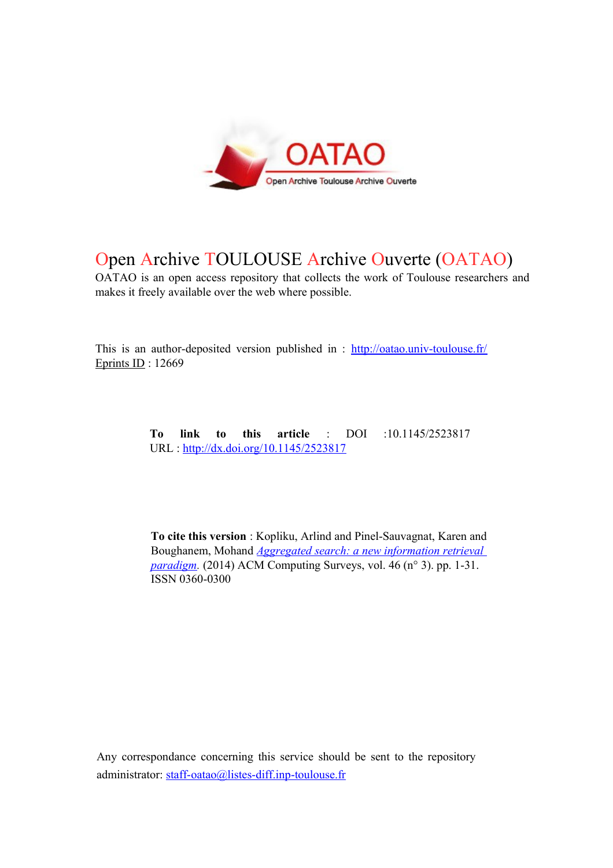

# Open Archive TOULOUSE Archive Ouverte (OATAO)

OATAO is an open access repository that collects the work of Toulouse researchers and makes it freely available over the web where possible.

This is an author-deposited version published in :<http://oatao.univ-toulouse.fr/> Eprints ID : 12669

> **To link to this article** : DOI :10.1145/2523817 URL :<http://dx.doi.org/10.1145/2523817>

**To cite this version** : Kopliku, Arlind and Pinel-Sauvagnat, Karen and Boughanem, Mohand *[Aggregated search: a new information retrieval](http://oatao.univ-toulouse.fr/12669/)  [paradigm.](http://oatao.univ-toulouse.fr/12669/)* (2014) ACM Computing Surveys, vol. 46 (n° 3). pp. 1-31. ISSN 0360-0300

Any correspondance concerning this service should be sent to the repository administrator: [staff-oatao@listes-diff.inp-toulouse.fr](mailto:staff-oatao@listes-diff.inp-toulouse.fr)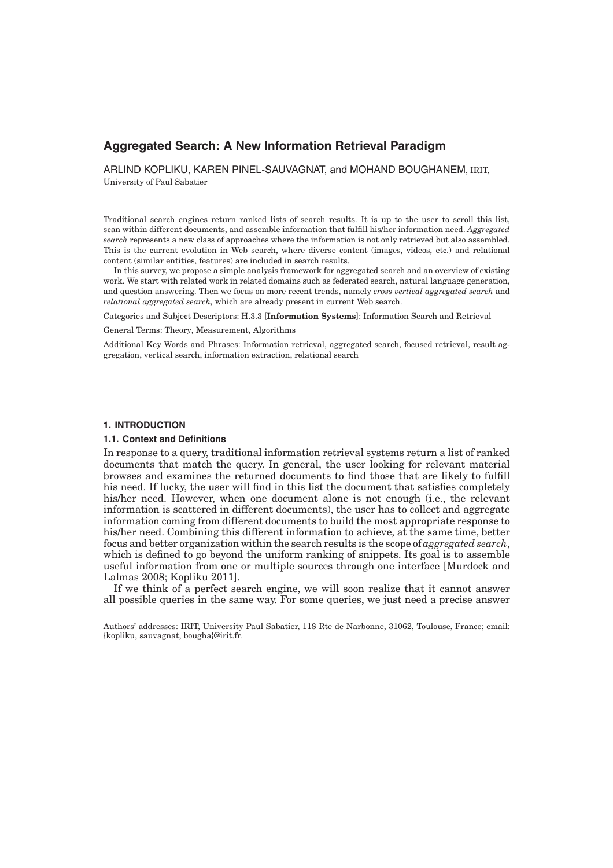## **Aggregated Search: A New Information Retrieval Paradigm**

ARLIND KOPLIKU, KAREN PINEL-SAUVAGNAT, and MOHAND BOUGHANEM, IRIT, University of Paul Sabatier

Traditional search engines return ranked lists of search results. It is up to the user to scroll this list, scan within different documents, and assemble information that fulfill his/her information need. *Aggregated search* represents a new class of approaches where the information is not only retrieved but also assembled. This is the current evolution in Web search, where diverse content (images, videos, etc.) and relational content (similar entities, features) are included in search results.

In this survey, we propose a simple analysis framework for aggregated search and an overview of existing work. We start with related work in related domains such as federated search, natural language generation, and question answering. Then we focus on more recent trends, namely *cross vertical aggregated search* and *relational aggregated search,* which are already present in current Web search.

Categories and Subject Descriptors: H.3.3 [**Information Systems**]: Information Search and Retrieval

General Terms: Theory, Measurement, Algorithms

Additional Key Words and Phrases: Information retrieval, aggregated search, focused retrieval, result aggregation, vertical search, information extraction, relational search

#### **1. INTRODUCTION**

#### **1.1. Context and Definitions**

In response to a query, traditional information retrieval systems return a list of ranked documents that match the query. In general, the user looking for relevant material browses and examines the returned documents to find those that are likely to fulfill his need. If lucky, the user will find in this list the document that satisfies completely his/her need. However, when one document alone is not enough (i.e., the relevant information is scattered in different documents), the user has to collect and aggregate information coming from different documents to build the most appropriate response to his/her need. Combining this different information to achieve, at the same time, better focus and better organization within the search results is the scope of *aggregated search*, which is defined to go beyond the uniform ranking of snippets. Its goal is to assemble useful information from one or multiple sources through one interface [Murdock and Lalmas 2008; Kopliku 2011].

If we think of a perfect search engine, we will soon realize that it cannot answer all possible queries in the same way. For some queries, we just need a precise answer

Authors' addresses: IRIT, University Paul Sabatier, 118 Rte de Narbonne, 31062, Toulouse, France; email: {kopliku, sauvagnat, bougha}@irit.fr.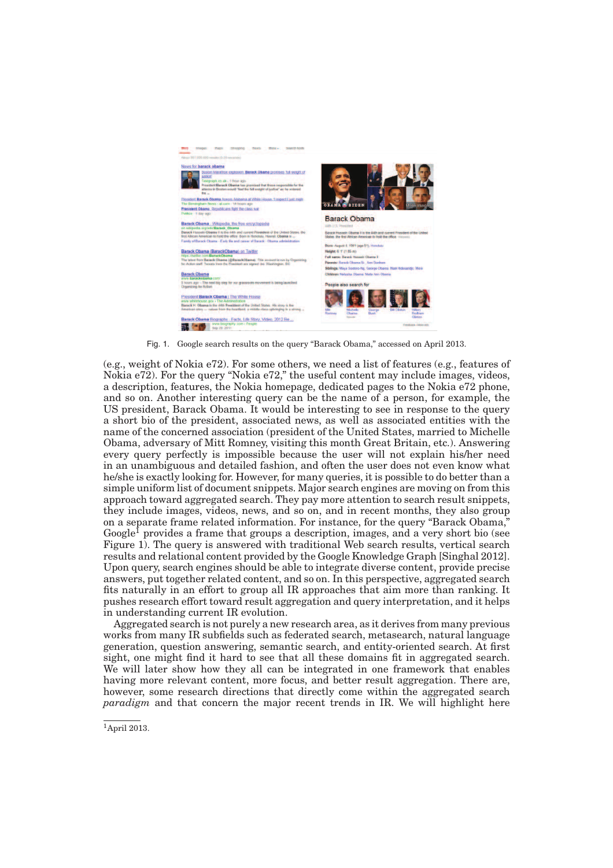

Fig. 1. Google search results on the query "Barack Obama," accessed on April 2013.

(e.g., weight of Nokia e72). For some others, we need a list of features (e.g., features of Nokia e72). For the query "Nokia e72," the useful content may include images, videos, a description, features, the Nokia homepage, dedicated pages to the Nokia e72 phone, and so on. Another interesting query can be the name of a person, for example, the US president, Barack Obama. It would be interesting to see in response to the query a short bio of the president, associated news, as well as associated entities with the name of the concerned association (president of the United States, married to Michelle Obama, adversary of Mitt Romney, visiting this month Great Britain, etc.). Answering every query perfectly is impossible because the user will not explain his/her need in an unambiguous and detailed fashion, and often the user does not even know what he/she is exactly looking for. However, for many queries, it is possible to do better than a simple uniform list of document snippets. Major search engines are moving on from this approach toward aggregated search. They pay more attention to search result snippets, they include images, videos, news, and so on, and in recent months, they also group on a separate frame related information. For instance, for the query "Barack Obama," Google<sup>1</sup> provides a frame that groups a description, images, and a very short bio (see Figure 1). The query is answered with traditional Web search results, vertical search results and relational content provided by the Google Knowledge Graph [Singhal 2012]. Upon query, search engines should be able to integrate diverse content, provide precise answers, put together related content, and so on. In this perspective, aggregated search fits naturally in an effort to group all IR approaches that aim more than ranking. It pushes research effort toward result aggregation and query interpretation, and it helps in understanding current IR evolution.

Aggregated search is not purely a new research area, as it derives from many previous works from many IR subfields such as federated search, metasearch, natural language generation, question answering, semantic search, and entity-oriented search. At first sight, one might find it hard to see that all these domains fit in aggregated search. We will later show how they all can be integrated in one framework that enables having more relevant content, more focus, and better result aggregation. There are, however, some research directions that directly come within the aggregated search *paradigm* and that concern the major recent trends in IR. We will highlight here

 $1$ April 2013.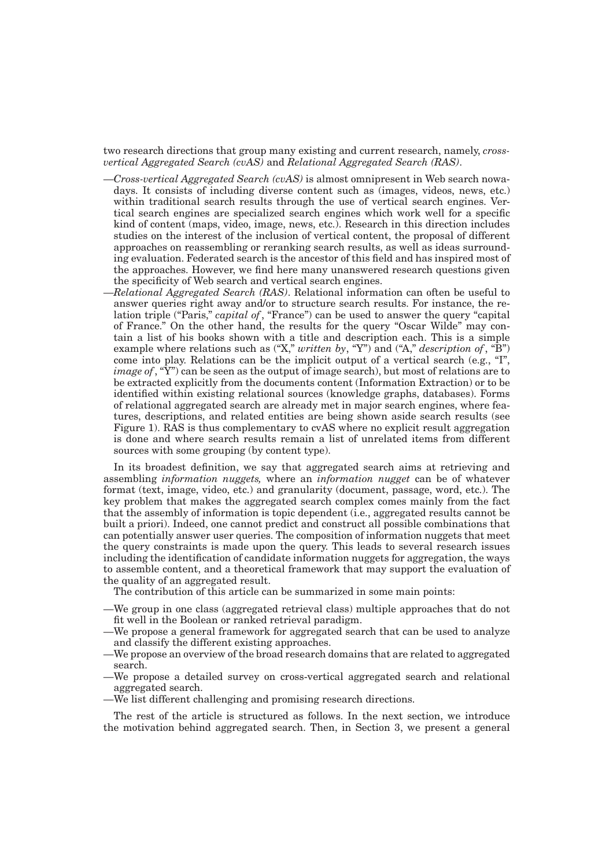two research directions that group many existing and current research, namely, *crossvertical Aggregated Search (cvAS)* and *Relational Aggregated Search (RAS)*.

- —*Cross-vertical Aggregated Search (cvAS)* is almost omnipresent in Web search nowadays. It consists of including diverse content such as (images, videos, news, etc.) within traditional search results through the use of vertical search engines. Vertical search engines are specialized search engines which work well for a specific kind of content (maps, video, image, news, etc.). Research in this direction includes studies on the interest of the inclusion of vertical content, the proposal of different approaches on reassembling or reranking search results, as well as ideas surrounding evaluation. Federated search is the ancestor of this field and has inspired most of the approaches. However, we find here many unanswered research questions given the specificity of Web search and vertical search engines.
- —*Relational Aggregated Search (RAS)*. Relational information can often be useful to answer queries right away and/or to structure search results. For instance, the relation triple ("Paris," *capital of*, "France") can be used to answer the query "capital of France." On the other hand, the results for the query "Oscar Wilde" may contain a list of his books shown with a title and description each. This is a simple example where relations such as ("X," *written by*, "Y") and ("A," *description of*, "B") come into play. Relations can be the implicit output of a vertical search (e.g., "I", *image of*, "Y") can be seen as the output of image search), but most of relations are to be extracted explicitly from the documents content (Information Extraction) or to be identified within existing relational sources (knowledge graphs, databases). Forms of relational aggregated search are already met in major search engines, where features, descriptions, and related entities are being shown aside search results (see Figure 1). RAS is thus complementary to cvAS where no explicit result aggregation is done and where search results remain a list of unrelated items from different sources with some grouping (by content type).

In its broadest definition, we say that aggregated search aims at retrieving and assembling *information nuggets,* where an *information nugget* can be of whatever format (text, image, video, etc.) and granularity (document, passage, word, etc.). The key problem that makes the aggregated search complex comes mainly from the fact that the assembly of information is topic dependent (i.e., aggregated results cannot be built a priori). Indeed, one cannot predict and construct all possible combinations that can potentially answer user queries. The composition of information nuggets that meet the query constraints is made upon the query. This leads to several research issues including the identification of candidate information nuggets for aggregation, the ways to assemble content, and a theoretical framework that may support the evaluation of the quality of an aggregated result.

The contribution of this article can be summarized in some main points:

- —We group in one class (aggregated retrieval class) multiple approaches that do not fit well in the Boolean or ranked retrieval paradigm.
- —We propose a general framework for aggregated search that can be used to analyze and classify the different existing approaches.
- —We propose an overview of the broad research domains that are related to aggregated search.
- —We propose a detailed survey on cross-vertical aggregated search and relational aggregated search.
- —We list different challenging and promising research directions.

The rest of the article is structured as follows. In the next section, we introduce the motivation behind aggregated search. Then, in Section 3, we present a general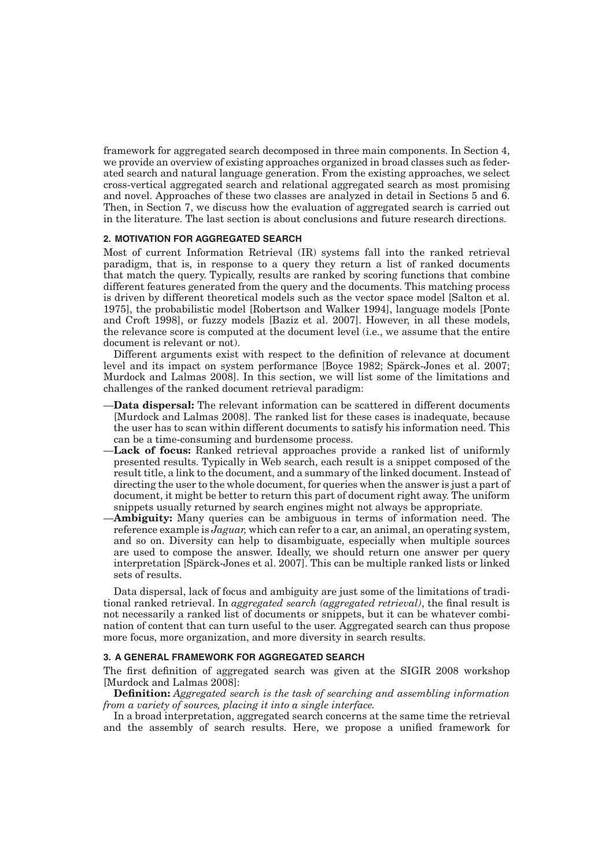framework for aggregated search decomposed in three main components. In Section 4, we provide an overview of existing approaches organized in broad classes such as federated search and natural language generation. From the existing approaches, we select cross-vertical aggregated search and relational aggregated search as most promising and novel. Approaches of these two classes are analyzed in detail in Sections 5 and 6. Then, in Section 7, we discuss how the evaluation of aggregated search is carried out in the literature. The last section is about conclusions and future research directions.

## **2. MOTIVATION FOR AGGREGATED SEARCH**

Most of current Information Retrieval (IR) systems fall into the ranked retrieval paradigm, that is, in response to a query they return a list of ranked documents that match the query. Typically, results are ranked by scoring functions that combine different features generated from the query and the documents. This matching process is driven by different theoretical models such as the vector space model [Salton et al. 1975], the probabilistic model [Robertson and Walker 1994], language models [Ponte and Croft 1998], or fuzzy models [Baziz et al. 2007]. However, in all these models, the relevance score is computed at the document level (i.e., we assume that the entire document is relevant or not).

Different arguments exist with respect to the definition of relevance at document level and its impact on system performance [Boyce 1982; Spärck-Jones et al. 2007; Murdock and Lalmas 2008]. In this section, we will list some of the limitations and challenges of the ranked document retrieval paradigm:

- —**Data dispersal:** The relevant information can be scattered in different documents [Murdock and Lalmas 2008]. The ranked list for these cases is inadequate, because the user has to scan within different documents to satisfy his information need. This can be a time-consuming and burdensome process.
- —**Lack of focus:** Ranked retrieval approaches provide a ranked list of uniformly presented results. Typically in Web search, each result is a snippet composed of the result title, a link to the document, and a summary of the linked document. Instead of directing the user to the whole document, for queries when the answer is just a part of document, it might be better to return this part of document right away. The uniform snippets usually returned by search engines might not always be appropriate.
- —**Ambiguity:** Many queries can be ambiguous in terms of information need. The reference example is *Jaguar,* which can refer to a car, an animal, an operating system, and so on. Diversity can help to disambiguate, especially when multiple sources are used to compose the answer. Ideally, we should return one answer per query interpretation  $[\text{Spärck-Jones et al. } 2007]$ . This can be multiple ranked lists or linked sets of results.

Data dispersal, lack of focus and ambiguity are just some of the limitations of traditional ranked retrieval. In *aggregated search (aggregated retrieval)*, the final result is not necessarily a ranked list of documents or snippets, but it can be whatever combination of content that can turn useful to the user. Aggregated search can thus propose more focus, more organization, and more diversity in search results.

## **3. A GENERAL FRAMEWORK FOR AGGREGATED SEARCH**

The first definition of aggregated search was given at the SIGIR 2008 workshop [Murdock and Lalmas 2008]:

**Definition:** *Aggregated search is the task of searching and assembling information from a variety of sources, placing it into a single interface.*

In a broad interpretation, aggregated search concerns at the same time the retrieval and the assembly of search results. Here, we propose a unified framework for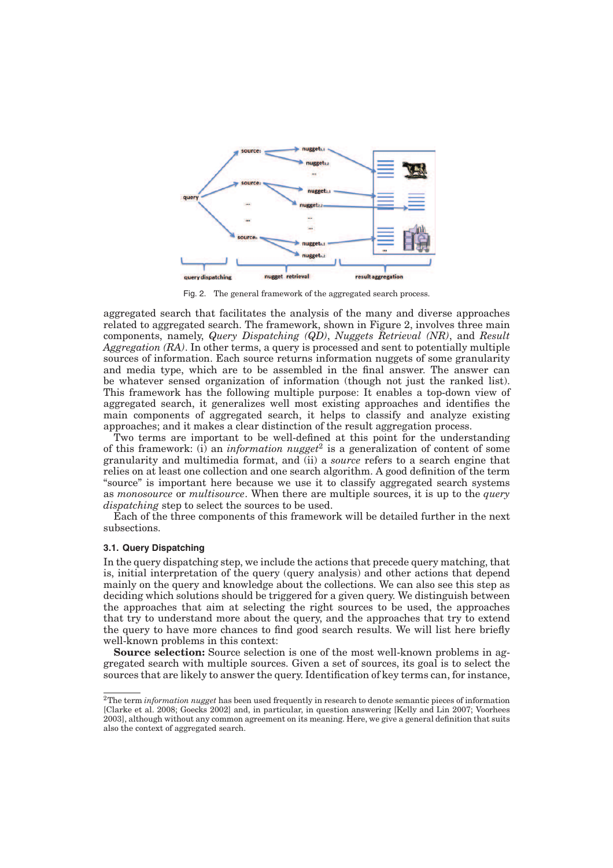

Fig. 2. The general framework of the aggregated search process.

aggregated search that facilitates the analysis of the many and diverse approaches related to aggregated search. The framework, shown in Figure 2, involves three main components, namely, *Query Dispatching (QD)*, *Nuggets Retrieval (NR)*, and *Result Aggregation (RA)*. In other terms, a query is processed and sent to potentially multiple sources of information. Each source returns information nuggets of some granularity and media type, which are to be assembled in the final answer. The answer can be whatever sensed organization of information (though not just the ranked list). This framework has the following multiple purpose: It enables a top-down view of aggregated search, it generalizes well most existing approaches and identifies the main components of aggregated search, it helps to classify and analyze existing approaches; and it makes a clear distinction of the result aggregation process.

Two terms are important to be well-defined at this point for the understanding of this framework: (i) an *information nugget*<sup>2</sup> is a generalization of content of some granularity and multimedia format, and (ii) a *source* refers to a search engine that relies on at least one collection and one search algorithm. A good definition of the term "source" is important here because we use it to classify aggregated search systems as *monosource* or *multisource*. When there are multiple sources, it is up to the *query dispatching* step to select the sources to be used.

Each of the three components of this framework will be detailed further in the next subsections.

## **3.1. Query Dispatching**

In the query dispatching step, we include the actions that precede query matching, that is, initial interpretation of the query (query analysis) and other actions that depend mainly on the query and knowledge about the collections. We can also see this step as deciding which solutions should be triggered for a given query. We distinguish between the approaches that aim at selecting the right sources to be used, the approaches that try to understand more about the query, and the approaches that try to extend the query to have more chances to find good search results. We will list here briefly well-known problems in this context:

**Source selection:** Source selection is one of the most well-known problems in aggregated search with multiple sources. Given a set of sources, its goal is to select the sources that are likely to answer the query. Identification of key terms can, for instance,

<sup>2</sup>The term *information nugget* has been used frequently in research to denote semantic pieces of information [Clarke et al. 2008; Goecks 2002] and, in particular, in question answering [Kelly and Lin 2007; Voorhees 2003], although without any common agreement on its meaning. Here, we give a general definition that suits also the context of aggregated search.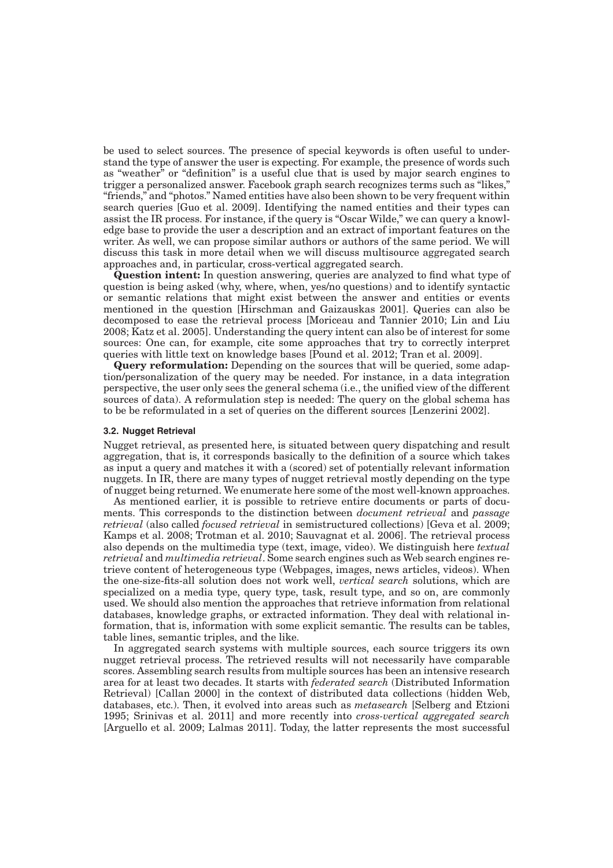be used to select sources. The presence of special keywords is often useful to understand the type of answer the user is expecting. For example, the presence of words such as "weather" or "definition" is a useful clue that is used by major search engines to trigger a personalized answer. Facebook graph search recognizes terms such as "likes," "friends," and "photos." Named entities have also been shown to be very frequent within search queries [Guo et al. 2009]. Identifying the named entities and their types can assist the IR process. For instance, if the query is "Oscar Wilde," we can query a knowledge base to provide the user a description and an extract of important features on the writer. As well, we can propose similar authors or authors of the same period. We will discuss this task in more detail when we will discuss multisource aggregated search approaches and, in particular, cross-vertical aggregated search.

**Question intent:** In question answering, queries are analyzed to find what type of question is being asked (why, where, when, yes/no questions) and to identify syntactic or semantic relations that might exist between the answer and entities or events mentioned in the question [Hirschman and Gaizauskas 2001]. Queries can also be decomposed to ease the retrieval process [Moriceau and Tannier 2010; Lin and Liu 2008; Katz et al. 2005]. Understanding the query intent can also be of interest for some sources: One can, for example, cite some approaches that try to correctly interpret queries with little text on knowledge bases [Pound et al. 2012; Tran et al. 2009].

**Query reformulation:** Depending on the sources that will be queried, some adaption/personalization of the query may be needed. For instance, in a data integration perspective, the user only sees the general schema (i.e., the unified view of the different sources of data). A reformulation step is needed: The query on the global schema has to be be reformulated in a set of queries on the different sources [Lenzerini 2002].

#### **3.2. Nugget Retrieval**

Nugget retrieval, as presented here, is situated between query dispatching and result aggregation, that is, it corresponds basically to the definition of a source which takes as input a query and matches it with a (scored) set of potentially relevant information nuggets. In IR, there are many types of nugget retrieval mostly depending on the type of nugget being returned. We enumerate here some of the most well-known approaches.

As mentioned earlier, it is possible to retrieve entire documents or parts of documents. This corresponds to the distinction between *document retrieval* and *passage retrieval* (also called *focused retrieval* in semistructured collections) [Geva et al. 2009; Kamps et al. 2008; Trotman et al. 2010; Sauvagnat et al. 2006]. The retrieval process also depends on the multimedia type (text, image, video). We distinguish here *textual retrieval* and *multimedia retrieval*. Some search engines such as Web search engines retrieve content of heterogeneous type (Webpages, images, news articles, videos). When the one-size-fits-all solution does not work well, *vertical search* solutions, which are specialized on a media type, query type, task, result type, and so on, are commonly used. We should also mention the approaches that retrieve information from relational databases, knowledge graphs, or extracted information. They deal with relational information, that is, information with some explicit semantic. The results can be tables, table lines, semantic triples, and the like.

In aggregated search systems with multiple sources, each source triggers its own nugget retrieval process. The retrieved results will not necessarily have comparable scores. Assembling search results from multiple sources has been an intensive research area for at least two decades. It starts with *federated search* (Distributed Information Retrieval) [Callan 2000] in the context of distributed data collections (hidden Web, databases, etc.). Then, it evolved into areas such as *metasearch* [Selberg and Etzioni 1995; Srinivas et al. 2011] and more recently into *cross-vertical aggregated search* [Arguello et al. 2009; Lalmas 2011]. Today, the latter represents the most successful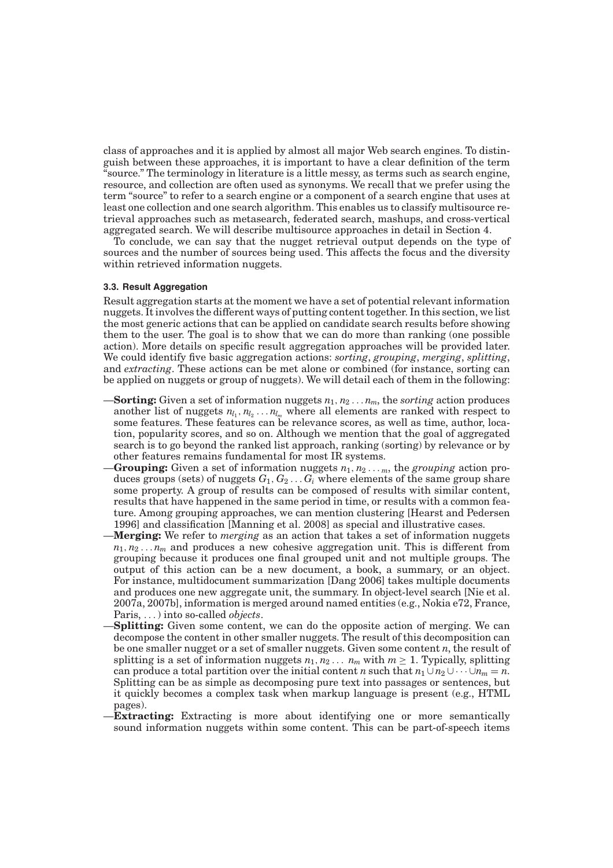class of approaches and it is applied by almost all major Web search engines. To distinguish between these approaches, it is important to have a clear definition of the term "source." The terminology in literature is a little messy, as terms such as search engine, resource, and collection are often used as synonyms. We recall that we prefer using the term "source" to refer to a search engine or a component of a search engine that uses at least one collection and one search algorithm. This enables us to classify multisource retrieval approaches such as metasearch, federated search, mashups, and cross-vertical aggregated search. We will describe multisource approaches in detail in Section 4.

To conclude, we can say that the nugget retrieval output depends on the type of sources and the number of sources being used. This affects the focus and the diversity within retrieved information nuggets.

## **3.3. Result Aggregation**

Result aggregation starts at the moment we have a set of potential relevant information nuggets. It involves the different ways of putting content together. In this section, we list the most generic actions that can be applied on candidate search results before showing them to the user. The goal is to show that we can do more than ranking (one possible action). More details on specific result aggregation approaches will be provided later. We could identify five basic aggregation actions: *sorting*, *grouping*, *merging*, *splitting*, and *extracting*. These actions can be met alone or combined (for instance, sorting can be applied on nuggets or group of nuggets). We will detail each of them in the following:

- $\rightarrow$  **Sorting:** Given a set of information nuggets  $n_1, n_2, \ldots, n_m$ , the *sorting* action produces another list of nuggets  $n_l$ ,  $n_l$ ,  $n_l$ ,  $\ldots$   $n_l$  where all elements are ranked with respect to some features. These features can be relevance scores, as well as time, author, location, popularity scores, and so on. Although we mention that the goal of aggregated search is to go beyond the ranked list approach, ranking (sorting) by relevance or by other features remains fundamental for most IR systems.
- —**Grouping:** Given a set of information nuggets *n*1, *n*<sup>2</sup> ... *<sup>m</sup>*, the *grouping* action produces groups (sets) of nuggets  $G_1, G_2, \ldots, G_i$  where elements of the same group share some property. A group of results can be composed of results with similar content, results that have happened in the same period in time, or results with a common feature. Among grouping approaches, we can mention clustering [Hearst and Pedersen 1996] and classification [Manning et al. 2008] as special and illustrative cases.
- —**Merging:** We refer to *merging* as an action that takes a set of information nuggets  $n_1, n_2, \ldots, n_m$  and produces a new cohesive aggregation unit. This is different from grouping because it produces one final grouped unit and not multiple groups. The output of this action can be a new document, a book, a summary, or an object. For instance, multidocument summarization [Dang 2006] takes multiple documents and produces one new aggregate unit, the summary. In object-level search [Nie et al. 2007a, 2007b], information is merged around named entities (e.g., Nokia e72, France, Paris, ... ) into so-called *objects*.
- —**Splitting:** Given some content, we can do the opposite action of merging. We can decompose the content in other smaller nuggets. The result of this decomposition can be one smaller nugget or a set of smaller nuggets. Given some content *n*, the result of splitting is a set of information nuggets  $n_1, n_2, \ldots, n_m$  with  $m \geq 1$ . Typically, splitting can produce a total partition over the initial content *n* such that  $n_1 \cup n_2 \cup \cdots \cup n_m = n$ . Splitting can be as simple as decomposing pure text into passages or sentences, but it quickly becomes a complex task when markup language is present (e.g., HTML pages).
- —**Extracting:** Extracting is more about identifying one or more semantically sound information nuggets within some content. This can be part-of-speech items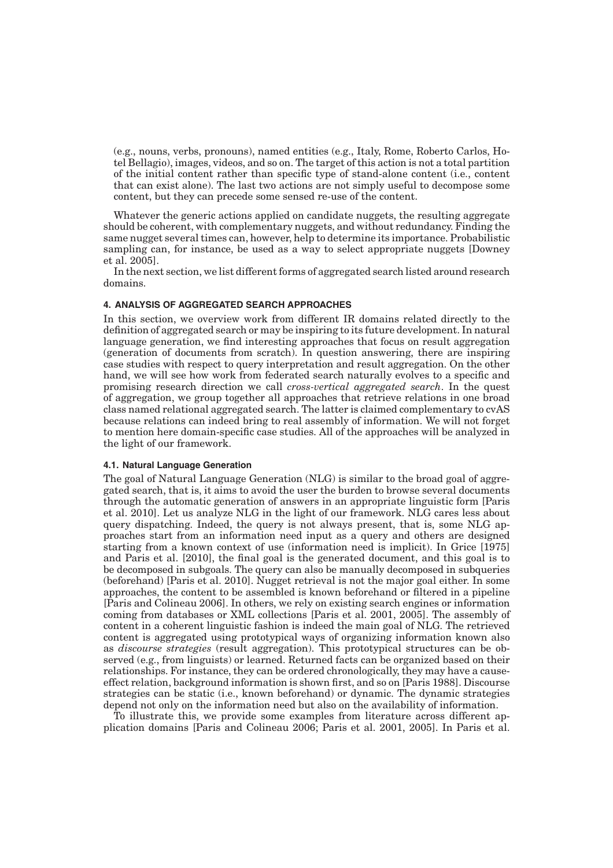(e.g., nouns, verbs, pronouns), named entities (e.g., Italy, Rome, Roberto Carlos, Hotel Bellagio), images, videos, and so on. The target of this action is not a total partition of the initial content rather than specific type of stand-alone content (i.e., content that can exist alone). The last two actions are not simply useful to decompose some content, but they can precede some sensed re-use of the content.

Whatever the generic actions applied on candidate nuggets, the resulting aggregate should be coherent, with complementary nuggets, and without redundancy. Finding the same nugget several times can, however, help to determine its importance. Probabilistic sampling can, for instance, be used as a way to select appropriate nuggets [Downey et al. 2005].

In the next section, we list different forms of aggregated search listed around research domains.

## **4. ANALYSIS OF AGGREGATED SEARCH APPROACHES**

In this section, we overview work from different IR domains related directly to the definition of aggregated search or may be inspiring to its future development. In natural language generation, we find interesting approaches that focus on result aggregation (generation of documents from scratch). In question answering, there are inspiring case studies with respect to query interpretation and result aggregation. On the other hand, we will see how work from federated search naturally evolves to a specific and promising research direction we call *cross-vertical aggregated search*. In the quest of aggregation, we group together all approaches that retrieve relations in one broad class named relational aggregated search. The latter is claimed complementary to cvAS because relations can indeed bring to real assembly of information. We will not forget to mention here domain-specific case studies. All of the approaches will be analyzed in the light of our framework.

#### **4.1. Natural Language Generation**

The goal of Natural Language Generation (NLG) is similar to the broad goal of aggregated search, that is, it aims to avoid the user the burden to browse several documents through the automatic generation of answers in an appropriate linguistic form [Paris et al. 2010]. Let us analyze NLG in the light of our framework. NLG cares less about query dispatching. Indeed, the query is not always present, that is, some NLG approaches start from an information need input as a query and others are designed starting from a known context of use (information need is implicit). In Grice [1975] and Paris et al. [2010], the final goal is the generated document, and this goal is to be decomposed in subgoals. The query can also be manually decomposed in subqueries (beforehand) [Paris et al. 2010]. Nugget retrieval is not the major goal either. In some approaches, the content to be assembled is known beforehand or filtered in a pipeline [Paris and Colineau 2006]. In others, we rely on existing search engines or information coming from databases or XML collections [Paris et al. 2001, 2005]. The assembly of content in a coherent linguistic fashion is indeed the main goal of NLG. The retrieved content is aggregated using prototypical ways of organizing information known also as *discourse strategies* (result aggregation). This prototypical structures can be observed (e.g., from linguists) or learned. Returned facts can be organized based on their relationships. For instance, they can be ordered chronologically, they may have a causeeffect relation, background information is shown first, and so on [Paris 1988]. Discourse strategies can be static (i.e., known beforehand) or dynamic. The dynamic strategies depend not only on the information need but also on the availability of information.

To illustrate this, we provide some examples from literature across different application domains [Paris and Colineau 2006; Paris et al. 2001, 2005]. In Paris et al.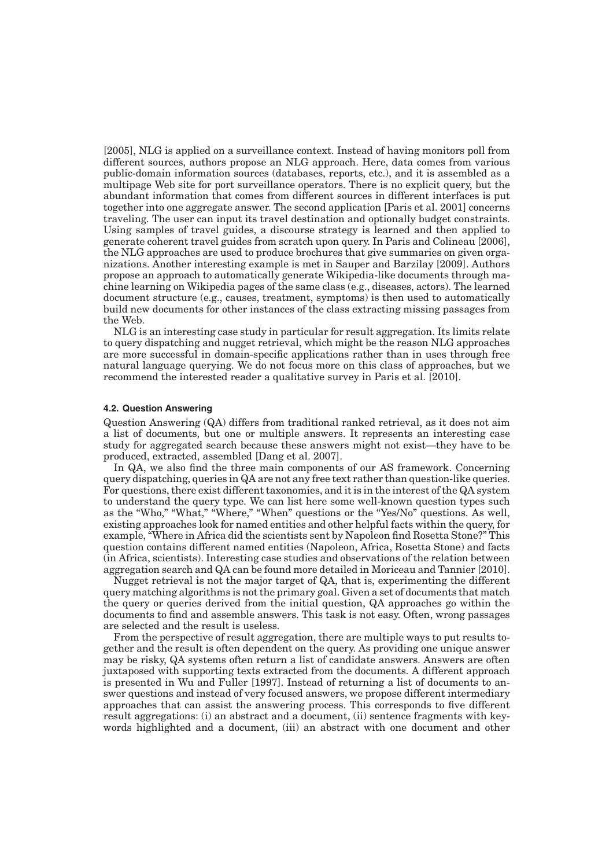[2005], NLG is applied on a surveillance context. Instead of having monitors poll from different sources, authors propose an NLG approach. Here, data comes from various public-domain information sources (databases, reports, etc.), and it is assembled as a multipage Web site for port surveillance operators. There is no explicit query, but the abundant information that comes from different sources in different interfaces is put together into one aggregate answer. The second application [Paris et al. 2001] concerns traveling. The user can input its travel destination and optionally budget constraints. Using samples of travel guides, a discourse strategy is learned and then applied to generate coherent travel guides from scratch upon query. In Paris and Colineau [2006], the NLG approaches are used to produce brochures that give summaries on given organizations. Another interesting example is met in Sauper and Barzilay [2009]. Authors propose an approach to automatically generate Wikipedia-like documents through machine learning on Wikipedia pages of the same class (e.g., diseases, actors). The learned document structure (e.g., causes, treatment, symptoms) is then used to automatically build new documents for other instances of the class extracting missing passages from the Web.

NLG is an interesting case study in particular for result aggregation. Its limits relate to query dispatching and nugget retrieval, which might be the reason NLG approaches are more successful in domain-specific applications rather than in uses through free natural language querying. We do not focus more on this class of approaches, but we recommend the interested reader a qualitative survey in Paris et al. [2010].

## **4.2. Question Answering**

Question Answering (QA) differs from traditional ranked retrieval, as it does not aim a list of documents, but one or multiple answers. It represents an interesting case study for aggregated search because these answers might not exist—they have to be produced, extracted, assembled [Dang et al. 2007].

In QA, we also find the three main components of our AS framework. Concerning query dispatching, queries in QA are not any free text rather than question-like queries. For questions, there exist different taxonomies, and it is in the interest of the QA system to understand the query type. We can list here some well-known question types such as the "Who," "What," "Where," "When" questions or the "Yes/No" questions. As well, existing approaches look for named entities and other helpful facts within the query, for example, "Where in Africa did the scientists sent by Napoleon find Rosetta Stone?" This question contains different named entities (Napoleon, Africa, Rosetta Stone) and facts (in Africa, scientists). Interesting case studies and observations of the relation between aggregation search and QA can be found more detailed in Moriceau and Tannier [2010].

Nugget retrieval is not the major target of QA, that is, experimenting the different query matching algorithms is not the primary goal. Given a set of documents that match the query or queries derived from the initial question, QA approaches go within the documents to find and assemble answers. This task is not easy. Often, wrong passages are selected and the result is useless.

From the perspective of result aggregation, there are multiple ways to put results together and the result is often dependent on the query. As providing one unique answer may be risky, QA systems often return a list of candidate answers. Answers are often juxtaposed with supporting texts extracted from the documents. A different approach is presented in Wu and Fuller [1997]. Instead of returning a list of documents to answer questions and instead of very focused answers, we propose different intermediary approaches that can assist the answering process. This corresponds to five different result aggregations: (i) an abstract and a document, (ii) sentence fragments with keywords highlighted and a document, (iii) an abstract with one document and other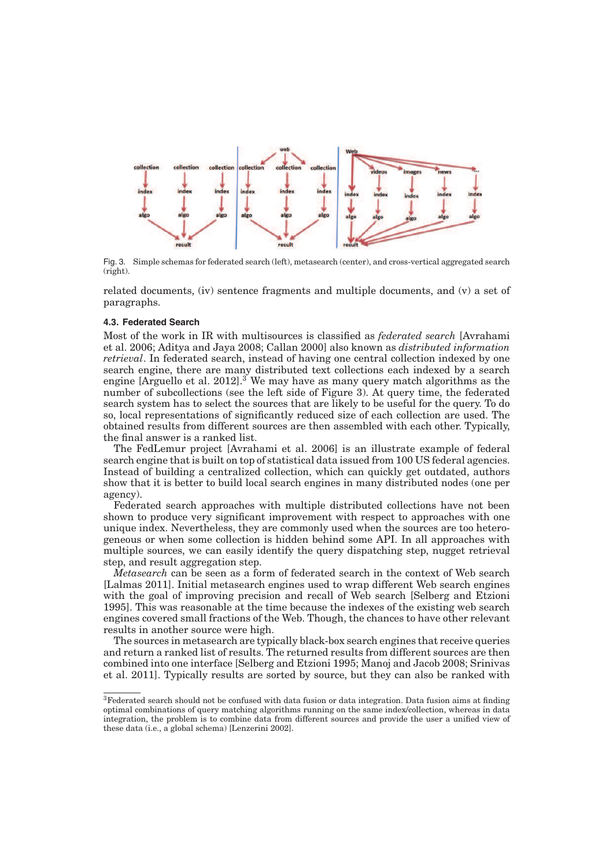

Fig. 3. Simple schemas for federated search (left), metasearch (center), and cross-vertical aggregated search (right).

related documents, (iv) sentence fragments and multiple documents, and (v) a set of paragraphs.

## **4.3. Federated Search**

Most of the work in IR with multisources is classified as *federated search* [Avrahami et al. 2006; Aditya and Jaya 2008; Callan 2000] also known as *distributed information retrieval*. In federated search, instead of having one central collection indexed by one search engine, there are many distributed text collections each indexed by a search engine [Arguello et al. 2012].<sup>3</sup> We may have as many query match algorithms as the number of subcollections (see the left side of Figure 3). At query time, the federated search system has to select the sources that are likely to be useful for the query. To do so, local representations of significantly reduced size of each collection are used. The obtained results from different sources are then assembled with each other. Typically, the final answer is a ranked list.

The FedLemur project [Avrahami et al. 2006] is an illustrate example of federal search engine that is built on top of statistical data issued from 100 US federal agencies. Instead of building a centralized collection, which can quickly get outdated, authors show that it is better to build local search engines in many distributed nodes (one per agency).

Federated search approaches with multiple distributed collections have not been shown to produce very significant improvement with respect to approaches with one unique index. Nevertheless, they are commonly used when the sources are too heterogeneous or when some collection is hidden behind some API. In all approaches with multiple sources, we can easily identify the query dispatching step, nugget retrieval step, and result aggregation step.

*Metasearch* can be seen as a form of federated search in the context of Web search [Lalmas 2011]. Initial metasearch engines used to wrap different Web search engines with the goal of improving precision and recall of Web search [Selberg and Etzioni 1995]. This was reasonable at the time because the indexes of the existing web search engines covered small fractions of the Web. Though, the chances to have other relevant results in another source were high.

The sources in metasearch are typically black-box search engines that receive queries and return a ranked list of results. The returned results from different sources are then combined into one interface [Selberg and Etzioni 1995; Manoj and Jacob 2008; Srinivas et al. 2011]. Typically results are sorted by source, but they can also be ranked with

<sup>&</sup>lt;sup>3</sup>Federated search should not be confused with data fusion or data integration. Data fusion aims at finding optimal combinations of query matching algorithms running on the same index/collection, whereas in data integration, the problem is to combine data from different sources and provide the user a unified view of these data (i.e., a global schema) [Lenzerini 2002].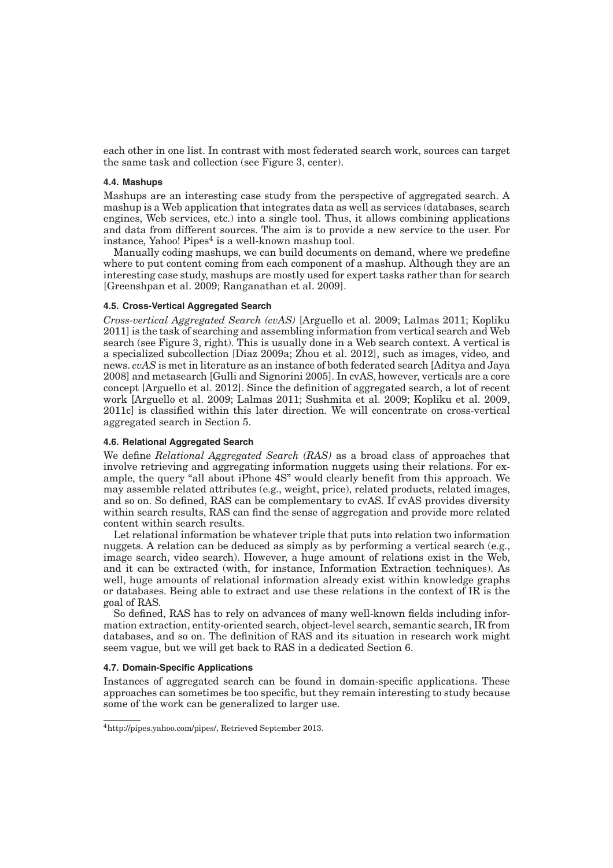each other in one list. In contrast with most federated search work, sources can target the same task and collection (see Figure 3, center).

#### **4.4. Mashups**

Mashups are an interesting case study from the perspective of aggregated search. A mashup is a Web application that integrates data as well as services (databases, search engines, Web services, etc.) into a single tool. Thus, it allows combining applications and data from different sources. The aim is to provide a new service to the user. For instance, Yahoo! Pipes<sup>4</sup> is a well-known mashup tool.

Manually coding mashups, we can build documents on demand, where we predefine where to put content coming from each component of a mashup. Although they are an interesting case study, mashups are mostly used for expert tasks rather than for search [Greenshpan et al. 2009; Ranganathan et al. 2009].

#### **4.5. Cross-Vertical Aggregated Search**

*Cross-vertical Aggregated Search (cvAS)* [Arguello et al. 2009; Lalmas 2011; Kopliku 2011] is the task of searching and assembling information from vertical search and Web search (see Figure 3, right). This is usually done in a Web search context. A vertical is a specialized subcollection [Diaz 2009a; Zhou et al. 2012], such as images, video, and news. *cvAS* is met in literature as an instance of both federated search [Aditya and Jaya 2008] and metasearch [Gulli and Signorini 2005]. In cvAS, however, verticals are a core concept [Arguello et al. 2012]. Since the definition of aggregated search, a lot of recent work [Arguello et al. 2009; Lalmas 2011; Sushmita et al. 2009; Kopliku et al. 2009, 2011c] is classified within this later direction. We will concentrate on cross-vertical aggregated search in Section 5.

#### **4.6. Relational Aggregated Search**

We define *Relational Aggregated Search (RAS)* as a broad class of approaches that involve retrieving and aggregating information nuggets using their relations. For example, the query "all about iPhone 4S" would clearly benefit from this approach. We may assemble related attributes (e.g., weight, price), related products, related images, and so on. So defined, RAS can be complementary to cvAS. If cvAS provides diversity within search results, RAS can find the sense of aggregation and provide more related content within search results.

Let relational information be whatever triple that puts into relation two information nuggets. A relation can be deduced as simply as by performing a vertical search (e.g., image search, video search). However, a huge amount of relations exist in the Web, and it can be extracted (with, for instance, Information Extraction techniques). As well, huge amounts of relational information already exist within knowledge graphs or databases. Being able to extract and use these relations in the context of IR is the goal of RAS.

So defined, RAS has to rely on advances of many well-known fields including information extraction, entity-oriented search, object-level search, semantic search, IR from databases, and so on. The definition of RAS and its situation in research work might seem vague, but we will get back to RAS in a dedicated Section 6.

#### **4.7. Domain-Specific Applications**

Instances of aggregated search can be found in domain-specific applications. These approaches can sometimes be too specific, but they remain interesting to study because some of the work can be generalized to larger use.

<sup>4</sup>http://pipes.yahoo.com/pipes/, Retrieved September 2013.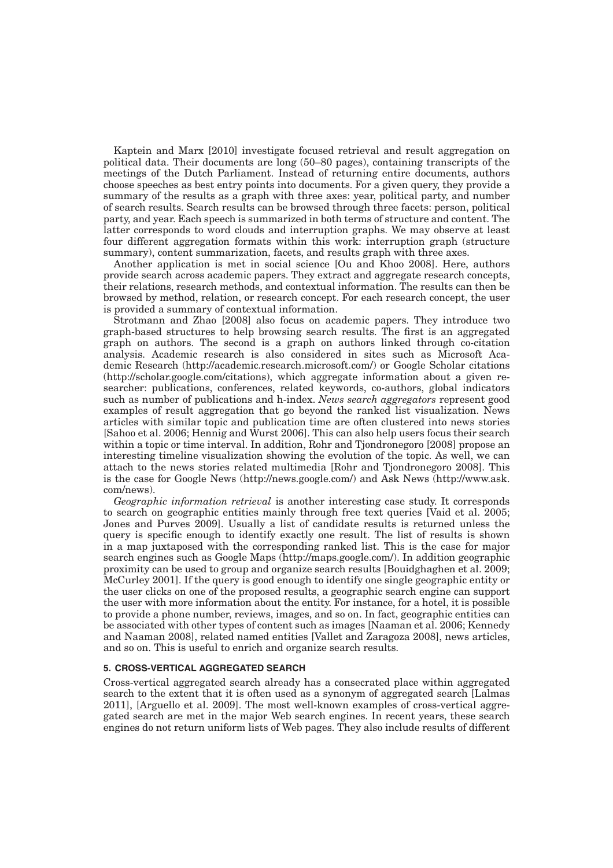Kaptein and Marx [2010] investigate focused retrieval and result aggregation on political data. Their documents are long (50–80 pages), containing transcripts of the meetings of the Dutch Parliament. Instead of returning entire documents, authors choose speeches as best entry points into documents. For a given query, they provide a summary of the results as a graph with three axes: year, political party, and number of search results. Search results can be browsed through three facets: person, political party, and year. Each speech is summarized in both terms of structure and content. The latter corresponds to word clouds and interruption graphs. We may observe at least four different aggregation formats within this work: interruption graph (structure summary), content summarization, facets, and results graph with three axes.

Another application is met in social science [Ou and Khoo 2008]. Here, authors provide search across academic papers. They extract and aggregate research concepts, their relations, research methods, and contextual information. The results can then be browsed by method, relation, or research concept. For each research concept, the user is provided a summary of contextual information.

Strotmann and Zhao [2008] also focus on academic papers. They introduce two graph-based structures to help browsing search results. The first is an aggregated graph on authors. The second is a graph on authors linked through co-citation analysis. Academic research is also considered in sites such as Microsoft Academic Research (http://academic.research.microsoft.com/) or Google Scholar citations (http://scholar.google.com/citations), which aggregate information about a given researcher: publications, conferences, related keywords, co-authors, global indicators such as number of publications and h-index. *News search aggregators* represent good examples of result aggregation that go beyond the ranked list visualization. News articles with similar topic and publication time are often clustered into news stories [Sahoo et al. 2006; Hennig and Wurst 2006]. This can also help users focus their search within a topic or time interval. In addition, Rohr and Tjondronegoro [2008] propose an interesting timeline visualization showing the evolution of the topic. As well, we can attach to the news stories related multimedia [Rohr and Tjondronegoro 2008]. This is the case for Google News (http://news.google.com/) and Ask News (http://www.ask. com/news).

*Geographic information retrieval* is another interesting case study. It corresponds to search on geographic entities mainly through free text queries [Vaid et al. 2005; Jones and Purves 2009]. Usually a list of candidate results is returned unless the query is specific enough to identify exactly one result. The list of results is shown in a map juxtaposed with the corresponding ranked list. This is the case for major search engines such as Google Maps (http://maps.google.com/). In addition geographic proximity can be used to group and organize search results [Bouidghaghen et al. 2009; McCurley 2001]. If the query is good enough to identify one single geographic entity or the user clicks on one of the proposed results, a geographic search engine can support the user with more information about the entity. For instance, for a hotel, it is possible to provide a phone number, reviews, images, and so on. In fact, geographic entities can be associated with other types of content such as images [Naaman et al. 2006; Kennedy and Naaman 2008], related named entities [Vallet and Zaragoza 2008], news articles, and so on. This is useful to enrich and organize search results.

## **5. CROSS-VERTICAL AGGREGATED SEARCH**

Cross-vertical aggregated search already has a consecrated place within aggregated search to the extent that it is often used as a synonym of aggregated search [Lalmas 2011], [Arguello et al. 2009]. The most well-known examples of cross-vertical aggregated search are met in the major Web search engines. In recent years, these search engines do not return uniform lists of Web pages. They also include results of different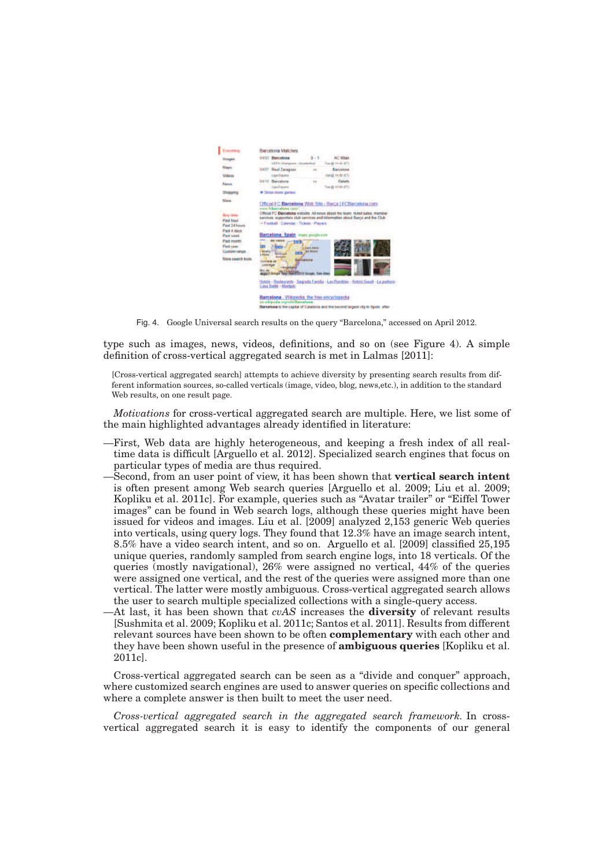|                                                                                          | <b>Barcelona Matches</b>                                                                                                                                                                                                                                                                         |                                   |                               |  |
|------------------------------------------------------------------------------------------|--------------------------------------------------------------------------------------------------------------------------------------------------------------------------------------------------------------------------------------------------------------------------------------------------|-----------------------------------|-------------------------------|--|
| <i>images</i>                                                                            | 04/03<br>Barcelona                                                                                                                                                                                                                                                                               |                                   | AC Milan                      |  |
| <b>Maps</b>                                                                              | UEFA Changers - Quarterlinal                                                                                                                                                                                                                                                                     |                                   | Tue @ 14.45 (ET)              |  |
|                                                                                          | 04/07<br>Real Zaragoza<br><b>Liga Espana</b>                                                                                                                                                                                                                                                     | <b>VS</b>                         | Barcelona<br>Sat @ 14:00 (ET) |  |
| <b>Videos</b>                                                                            | 04/10<br><b>Barcelona</b>                                                                                                                                                                                                                                                                        |                                   | Gatata                        |  |
| Naswu:                                                                                   | Lisa Espana                                                                                                                                                                                                                                                                                      | VS                                | Toe @ 15:00 (ET)              |  |
| Shopping                                                                                 | + Show more games                                                                                                                                                                                                                                                                                |                                   |                               |  |
| More                                                                                     | Official FC Barcelona Web Site - Barca   FCBarcelona.com<br>www.fcbarcelona.com/                                                                                                                                                                                                                 |                                   |                               |  |
| <b>Past hour</b><br>Past 24 hours<br>Past 4 days<br>Past week<br>Past month<br>Past year | Official FC Barcelona website. All news about the team, ticket sales, member<br>services, supporters club services and information about Barca and the Club<br><sup>14</sup> Football - Calendar - Tickets - Players<br>Barcelona, Spain maps google.com<br><b>OEC VISING</b><br>ta a<br>m<br>नग |                                   |                               |  |
| Custom range<br>More search tools                                                        | <b>Vicenc</b><br><b>DETA</b><br><b>HORN</b><br><b>SURVEY</b><br>Barcelona<br><b>Cornwits</b> de<br>Listvegat<br>Hospitalen<br>Boi de<br>Tobroad Groupe, Tele Atlas<br><b>WANT?</b> Google                                                                                                        | <b>Sank Aires</b><br>the fibrains |                               |  |
|                                                                                          | Hotels - Restaurants - Sagrada Familia - Las Ramblas - Antoni Gaudi - La pedrera<br>Casa Battlo - Montjuic                                                                                                                                                                                       |                                   |                               |  |
|                                                                                          | Barcelona - Wikipedia, the free encyclopedia<br>en wikipodia org/wiki/Barcelona<br>Barcelona is the capital of Catalonia and the second largest city in Spain, after                                                                                                                             |                                   |                               |  |

Fig. 4. Google Universal search results on the query "Barcelona," accessed on April 2012.

type such as images, news, videos, definitions, and so on (see Figure 4). A simple definition of cross-vertical aggregated search is met in Lalmas [2011]:

[Cross-vertical aggregated search] attempts to achieve diversity by presenting search results from different information sources, so-called verticals (image, video, blog, news,etc.), in addition to the standard Web results, on one result page.

*Motivations* for cross-vertical aggregated search are multiple. Here, we list some of the main highlighted advantages already identified in literature:

- —First, Web data are highly heterogeneous, and keeping a fresh index of all realtime data is difficult [Arguello et al. 2012]. Specialized search engines that focus on particular types of media are thus required.
- —Second, from an user point of view, it has been shown that **vertical search intent** is often present among Web search queries [Arguello et al. 2009; Liu et al. 2009; Kopliku et al. 2011c]. For example, queries such as "Avatar trailer" or "Eiffel Tower images" can be found in Web search logs, although these queries might have been issued for videos and images. Liu et al. [2009] analyzed 2,153 generic Web queries into verticals, using query logs. They found that 12.3% have an image search intent, 8.5% have a video search intent, and so on. Arguello et al. [2009] classified 25,195 unique queries, randomly sampled from search engine logs, into 18 verticals. Of the queries (mostly navigational), 26% were assigned no vertical, 44% of the queries were assigned one vertical, and the rest of the queries were assigned more than one vertical. The latter were mostly ambiguous. Cross-vertical aggregated search allows the user to search multiple specialized collections with a single-query access.
- —At last, it has been shown that *cvAS* increases the **diversity** of relevant results [Sushmita et al. 2009; Kopliku et al. 2011c; Santos et al. 2011]. Results from different relevant sources have been shown to be often **complementary** with each other and they have been shown useful in the presence of **ambiguous queries** [Kopliku et al. 2011c].

Cross-vertical aggregated search can be seen as a "divide and conquer" approach, where customized search engines are used to answer queries on specific collections and where a complete answer is then built to meet the user need.

*Cross-vertical aggregated search in the aggregated search framework.* In crossvertical aggregated search it is easy to identify the components of our general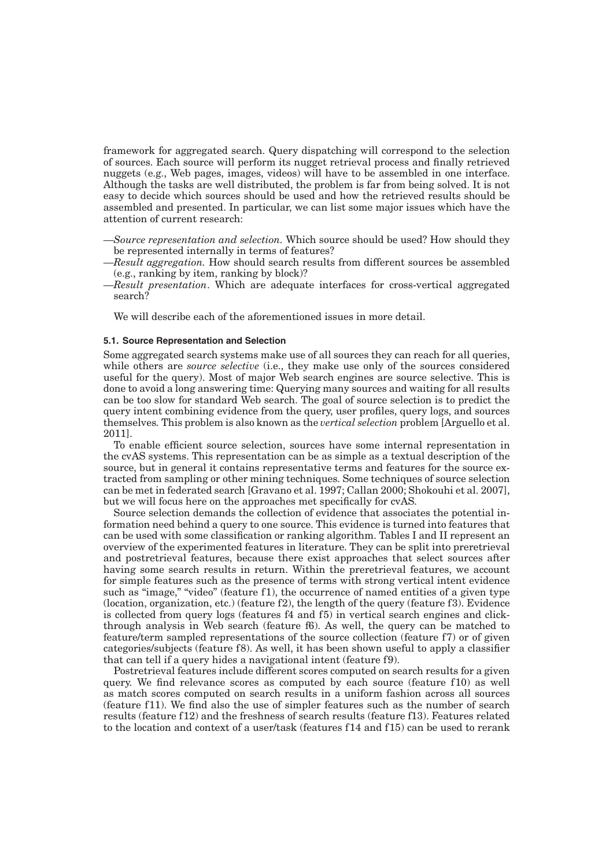framework for aggregated search. Query dispatching will correspond to the selection of sources. Each source will perform its nugget retrieval process and finally retrieved nuggets (e.g., Web pages, images, videos) will have to be assembled in one interface. Although the tasks are well distributed, the problem is far from being solved. It is not easy to decide which sources should be used and how the retrieved results should be assembled and presented. In particular, we can list some major issues which have the attention of current research:

- —*Source representation and selection.* Which source should be used? How should they be represented internally in terms of features?
- —*Result aggregation.* How should search results from different sources be assembled (e.g., ranking by item, ranking by block)?
- —*Result presentation*. Which are adequate interfaces for cross-vertical aggregated search?

We will describe each of the aforementioned issues in more detail.

#### **5.1. Source Representation and Selection**

Some aggregated search systems make use of all sources they can reach for all queries, while others are *source selective* (i.e., they make use only of the sources considered useful for the query). Most of major Web search engines are source selective. This is done to avoid a long answering time: Querying many sources and waiting for all results can be too slow for standard Web search. The goal of source selection is to predict the query intent combining evidence from the query, user profiles, query logs, and sources themselves*.* This problem is also known as the *vertical selection* problem [Arguello et al. 2011].

To enable efficient source selection, sources have some internal representation in the cvAS systems. This representation can be as simple as a textual description of the source, but in general it contains representative terms and features for the source extracted from sampling or other mining techniques. Some techniques of source selection can be met in federated search [Gravano et al. 1997; Callan 2000; Shokouhi et al. 2007], but we will focus here on the approaches met specifically for cvAS.

Source selection demands the collection of evidence that associates the potential information need behind a query to one source. This evidence is turned into features that can be used with some classification or ranking algorithm. Tables I and II represent an overview of the experimented features in literature. They can be split into preretrieval and postretrieval features, because there exist approaches that select sources after having some search results in return. Within the preretrieval features, we account for simple features such as the presence of terms with strong vertical intent evidence such as "image," "video" (feature f1), the occurrence of named entities of a given type (location, organization, etc.) (feature f2), the length of the query (feature f3). Evidence is collected from query logs (features f4 and f5) in vertical search engines and clickthrough analysis in Web search (feature f6). As well, the query can be matched to feature/term sampled representations of the source collection (feature f7) or of given categories/subjects (feature f8). As well, it has been shown useful to apply a classifier that can tell if a query hides a navigational intent (feature f9).

Postretrieval features include different scores computed on search results for a given query. We find relevance scores as computed by each source (feature f10) as well as match scores computed on search results in a uniform fashion across all sources (feature f11). We find also the use of simpler features such as the number of search results (feature f12) and the freshness of search results (feature f13). Features related to the location and context of a user/task (features f14 and f15) can be used to rerank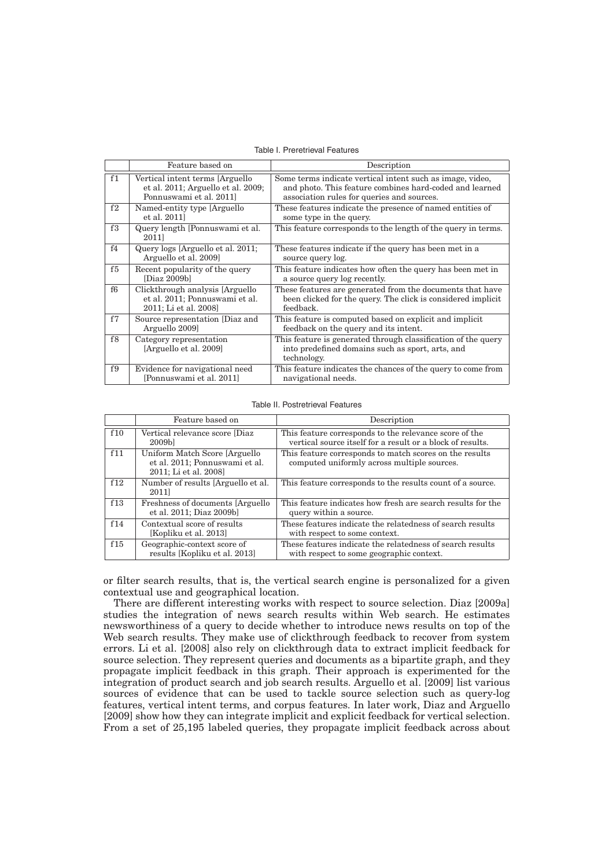|                | Feature based on                                                                                  | Description                                                                                                                                                        |  |  |
|----------------|---------------------------------------------------------------------------------------------------|--------------------------------------------------------------------------------------------------------------------------------------------------------------------|--|--|
| f1             | Vertical intent terms [Arguello]<br>et al. 2011; Arguello et al. 2009;<br>Ponnuswami et al. 2011] | Some terms indicate vertical intent such as image, video,<br>and photo. This feature combines hard-coded and learned<br>association rules for queries and sources. |  |  |
| f2             | Named-entity type [Arguello]<br>et al. 2011]                                                      | These features indicate the presence of named entities of<br>some type in the query.                                                                               |  |  |
| f3             | Query length [Ponnuswami et al.<br>2011                                                           | This feature corresponds to the length of the query in terms.                                                                                                      |  |  |
| f <sub>4</sub> | Query logs [Arguello et al. 2011;<br>Arguello et al. 2009]                                        | These features indicate if the query has been met in a<br>source query log.                                                                                        |  |  |
| f <sub>5</sub> | Recent popularity of the query<br>Diaz 2009bl                                                     | This feature indicates how often the query has been met in<br>a source query log recently.                                                                         |  |  |
| f6             | Clickthrough analysis [Arguello]<br>et al. 2011; Ponnuswami et al.<br>2011; Li et al. 2008]       | These features are generated from the documents that have<br>been clicked for the query. The click is considered implicit<br>feedback.                             |  |  |
| f7             | Source representation [Diaz and<br>Arguello 2009]                                                 | This feature is computed based on explicit and implicit<br>feedback on the query and its intent.                                                                   |  |  |
| f8             | Category representation<br>[Arguello et al. 2009]                                                 | This feature is generated through classification of the query<br>into predefined domains such as sport, arts, and<br>technology.                                   |  |  |
| f9             | Evidence for navigational need<br>[Ponnuswami et al. 2011]                                        | This feature indicates the chances of the query to come from<br>navigational needs.                                                                                |  |  |

#### Table II. Postretrieval Features

|     | Feature based on                                                                          | Description                                                                                                          |  |  |
|-----|-------------------------------------------------------------------------------------------|----------------------------------------------------------------------------------------------------------------------|--|--|
| f10 | Vertical relevance score [Diaz<br>2009 <sub>b</sub>                                       | This feature corresponds to the relevance score of the<br>vertical source itself for a result or a block of results. |  |  |
| f11 | Uniform Match Score [Arguello]<br>et al. 2011; Ponnuswami et al.<br>2011; Li et al. 2008] | This feature corresponds to match scores on the results<br>computed uniformly across multiple sources.               |  |  |
| f12 | Number of results [Arguello et al.<br>2011                                                | This feature corresponds to the results count of a source.                                                           |  |  |
| f13 | Freshness of documents [Arguello]<br>et al. 2011; Diaz 2009bl                             | This feature indicates how fresh are search results for the<br>query within a source.                                |  |  |
| f14 | Contextual score of results<br>[Kopliku et al. 2013]                                      | These features indicate the relatedness of search results<br>with respect to some context.                           |  |  |
| f15 | Geographic-context score of<br>results [Kopliku et al. 2013]                              | These features indicate the relatedness of search results<br>with respect to some geographic context.                |  |  |

or filter search results, that is, the vertical search engine is personalized for a given contextual use and geographical location.

There are different interesting works with respect to source selection. Diaz [2009a] studies the integration of news search results within Web search. He estimates newsworthiness of a query to decide whether to introduce news results on top of the Web search results. They make use of clickthrough feedback to recover from system errors. Li et al. [2008] also rely on clickthrough data to extract implicit feedback for source selection. They represent queries and documents as a bipartite graph, and they propagate implicit feedback in this graph. Their approach is experimented for the integration of product search and job search results. Arguello et al. [2009] list various sources of evidence that can be used to tackle source selection such as query-log features, vertical intent terms, and corpus features. In later work, Diaz and Arguello [2009] show how they can integrate implicit and explicit feedback for vertical selection. From a set of 25,195 labeled queries, they propagate implicit feedback across about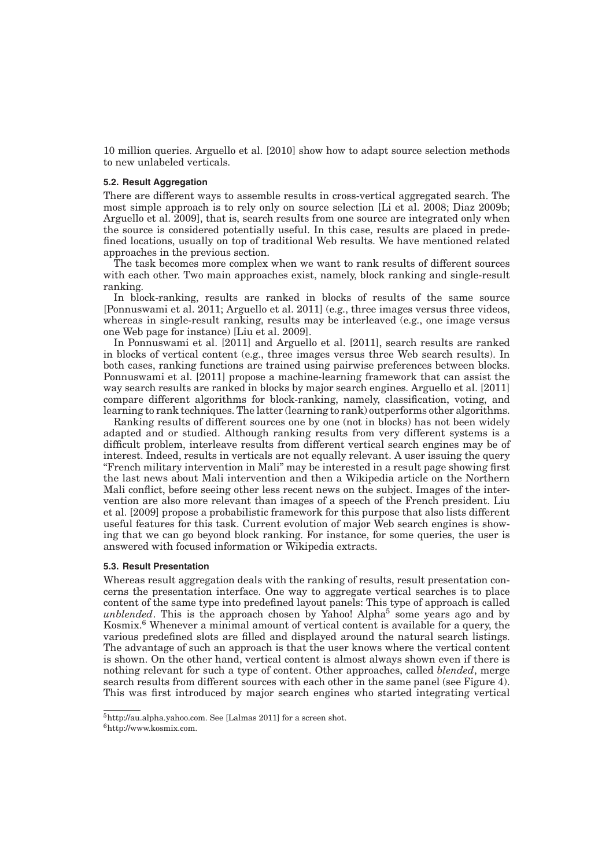10 million queries. Arguello et al. [2010] show how to adapt source selection methods to new unlabeled verticals.

#### **5.2. Result Aggregation**

There are different ways to assemble results in cross-vertical aggregated search. The most simple approach is to rely only on source selection [Li et al. 2008; Diaz 2009b; Arguello et al. 2009], that is, search results from one source are integrated only when the source is considered potentially useful. In this case, results are placed in predefined locations, usually on top of traditional Web results. We have mentioned related approaches in the previous section.

The task becomes more complex when we want to rank results of different sources with each other. Two main approaches exist, namely, block ranking and single-result ranking.

In block-ranking, results are ranked in blocks of results of the same source [Ponnuswami et al. 2011; Arguello et al. 2011] (e.g., three images versus three videos, whereas in single-result ranking, results may be interleaved (e.g., one image versus one Web page for instance) [Liu et al. 2009].

In Ponnuswami et al. [2011] and Arguello et al. [2011], search results are ranked in blocks of vertical content (e.g., three images versus three Web search results). In both cases, ranking functions are trained using pairwise preferences between blocks. Ponnuswami et al. [2011] propose a machine-learning framework that can assist the way search results are ranked in blocks by major search engines. Arguello et al. [2011] compare different algorithms for block-ranking, namely, classification, voting, and learning to rank techniques. The latter (learning to rank) outperforms other algorithms.

Ranking results of different sources one by one (not in blocks) has not been widely adapted and or studied. Although ranking results from very different systems is a difficult problem, interleave results from different vertical search engines may be of interest. Indeed, results in verticals are not equally relevant. A user issuing the query "French military intervention in Mali" may be interested in a result page showing first the last news about Mali intervention and then a Wikipedia article on the Northern Mali conflict, before seeing other less recent news on the subject. Images of the intervention are also more relevant than images of a speech of the French president. Liu et al. [2009] propose a probabilistic framework for this purpose that also lists different useful features for this task. Current evolution of major Web search engines is showing that we can go beyond block ranking. For instance, for some queries, the user is answered with focused information or Wikipedia extracts.

#### **5.3. Result Presentation**

Whereas result aggregation deals with the ranking of results, result presentation concerns the presentation interface. One way to aggregate vertical searches is to place content of the same type into predefined layout panels: This type of approach is called unblended. This is the approach chosen by Yahoo! Alpha<sup>5</sup> some years ago and by Kosmix.<sup>6</sup> Whenever a minimal amount of vertical content is available for a query, the various predefined slots are filled and displayed around the natural search listings. The advantage of such an approach is that the user knows where the vertical content is shown. On the other hand, vertical content is almost always shown even if there is nothing relevant for such a type of content. Other approaches, called *blended*, merge search results from different sources with each other in the same panel (see Figure 4). This was first introduced by major search engines who started integrating vertical

<sup>5</sup>http://au.alpha.yahoo.com. See [Lalmas 2011] for a screen shot.

<sup>6</sup>http://www.kosmix.com.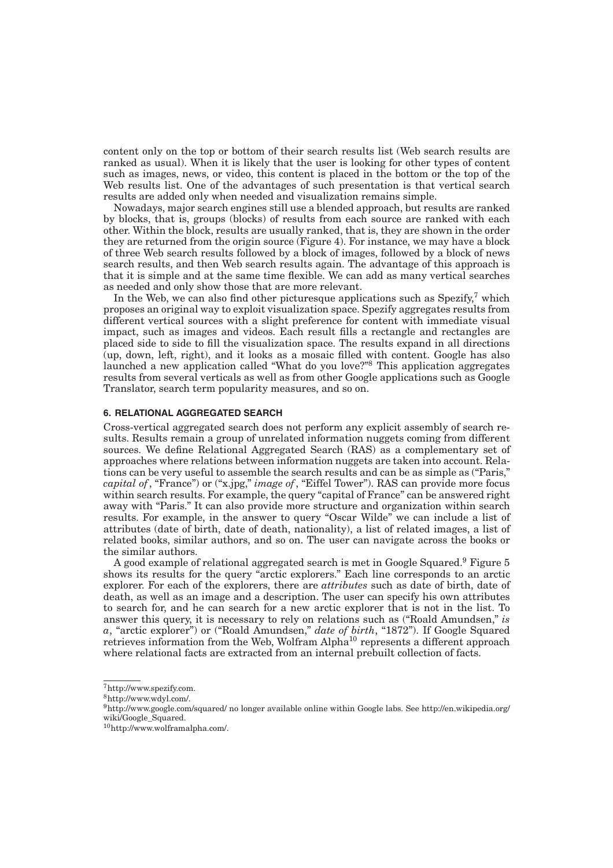content only on the top or bottom of their search results list (Web search results are ranked as usual). When it is likely that the user is looking for other types of content such as images, news, or video, this content is placed in the bottom or the top of the Web results list. One of the advantages of such presentation is that vertical search results are added only when needed and visualization remains simple.

Nowadays, major search engines still use a blended approach, but results are ranked by blocks, that is, groups (blocks) of results from each source are ranked with each other. Within the block, results are usually ranked, that is, they are shown in the order they are returned from the origin source (Figure 4). For instance, we may have a block of three Web search results followed by a block of images, followed by a block of news search results, and then Web search results again. The advantage of this approach is that it is simple and at the same time flexible. We can add as many vertical searches as needed and only show those that are more relevant.

In the Web, we can also find other pictures que applications such as  $\text{Spezify}^7$  which proposes an original way to exploit visualization space. Spezify aggregates results from different vertical sources with a slight preference for content with immediate visual impact, such as images and videos. Each result fills a rectangle and rectangles are placed side to side to fill the visualization space. The results expand in all directions (up, down, left, right), and it looks as a mosaic filled with content. Google has also launched a new application called "What do you love?"<sup>8</sup> This application aggregates results from several verticals as well as from other Google applications such as Google Translator, search term popularity measures, and so on.

#### **6. RELATIONAL AGGREGATED SEARCH**

Cross-vertical aggregated search does not perform any explicit assembly of search results. Results remain a group of unrelated information nuggets coming from different sources. We define Relational Aggregated Search (RAS) as a complementary set of approaches where relations between information nuggets are taken into account. Relations can be very useful to assemble the search results and can be as simple as ("Paris," *capital of*, "France") or ("x.jpg," *image of*, "Eiffel Tower"). RAS can provide more focus within search results. For example, the query "capital of France" can be answered right away with "Paris." It can also provide more structure and organization within search results. For example, in the answer to query "Oscar Wilde" we can include a list of attributes (date of birth, date of death, nationality), a list of related images, a list of related books, similar authors, and so on. The user can navigate across the books or the similar authors.

A good example of relational aggregated search is met in Google Squared.<sup>9</sup> Figure 5 shows its results for the query "arctic explorers." Each line corresponds to an arctic explorer. For each of the explorers, there are *attributes* such as date of birth, date of death, as well as an image and a description. The user can specify his own attributes to search for, and he can search for a new arctic explorer that is not in the list. To answer this query, it is necessary to rely on relations such as ("Roald Amundsen," *is a*, "arctic explorer") or ("Roald Amundsen," *date of birth*, "1872"). If Google Squared retrieves information from the Web, Wolfram Alpha<sup>10</sup> represents a different approach where relational facts are extracted from an internal prebuilt collection of facts.

<sup>7</sup>http://www.spezify.com.

<sup>8</sup>http://www.wdyl.com/.

<sup>9</sup>http://www.google.com/squared/ no longer available online within Google labs. See http://en.wikipedia.org/ wiki/Google\_Squared.

<sup>10</sup>http://www.wolframalpha.com/.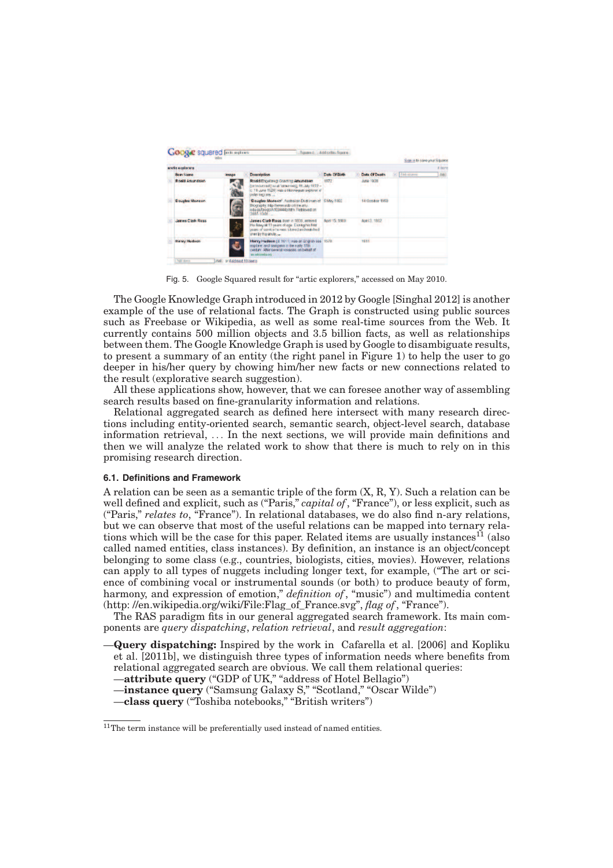|  | <b>Google</b> squared <b>First explores</b> |                         |                                                                                                                                                                      | Squared: Add to the Square. |                 |                              |         |
|--|---------------------------------------------|-------------------------|----------------------------------------------------------------------------------------------------------------------------------------------------------------------|-----------------------------|-----------------|------------------------------|---------|
|  |                                             |                         |                                                                                                                                                                      |                             |                 | Sign in to save your Squares |         |
|  | arctic explorers.                           |                         |                                                                                                                                                                      |                             |                 |                              | 4 demas |
|  | <b><i><u>Hem Name</u></i></b>               | mage                    | <b>Deacription</b>                                                                                                                                                   | Date Of Birth               | Date Of Death   | <b>Zad columns</b>           | Add !   |
|  | Roald Amundsen                              | 立路                      | Roald Engeltreg Gradfing Amundsen<br>baronismond finanti intrameant; 16 June 1872 -<br>c. 18 June 1028, was a Nervegian existent of<br>poler racitors                | 1872                        | June 1978<br>.  |                              |         |
|  | <b>Douglas Mawson</b>                       |                         | Douglas Mawson", Australian Dictionary of 5 May 1982<br>Biography: http://www.adb.ori.ina.anu.r<br>edu gu/brogs/A1004445 htm. Retrieved on<br>2002.30.01             |                             | 14 October 1058 |                              |         |
|  | James Clark Ross                            | ā                       | James Clark Ross: born in 1900, entered<br>the New at 11 years of ago. During his first<br>years of service he was a tored and watched<br>over by his uncle          | April 15, 1600              | April 3, 1862   |                              |         |
|  | <b>Henry Hudson</b>                         | ē.                      | Herry Hudson (d. 1611) was an English cas. 1570.<br>explorer and resignatur in the early 17th.<br>to faited ito alegeron lenered 14th valities<br>en wikipiedia arg. |                             | 1611            |                              |         |
|  | Add done                                    | AM or Addition 10 items |                                                                                                                                                                      |                             |                 |                              |         |

Fig. 5. Google Squared result for "artic explorers," accessed on May 2010.

The Google Knowledge Graph introduced in 2012 by Google [Singhal 2012] is another example of the use of relational facts. The Graph is constructed using public sources such as Freebase or Wikipedia, as well as some real-time sources from the Web. It currently contains 500 million objects and 3.5 billion facts, as well as relationships between them. The Google Knowledge Graph is used by Google to disambiguate results, to present a summary of an entity (the right panel in Figure 1) to help the user to go deeper in his/her query by chowing him/her new facts or new connections related to the result (explorative search suggestion).

All these applications show, however, that we can foresee another way of assembling search results based on fine-granularity information and relations.

Relational aggregated search as defined here intersect with many research directions including entity-oriented search, semantic search, object-level search, database information retrieval, ... In the next sections, we will provide main definitions and then we will analyze the related work to show that there is much to rely on in this promising research direction.

## **6.1. Definitions and Framework**

A relation can be seen as a semantic triple of the form (X, R, Y). Such a relation can be well defined and explicit, such as ("Paris," *capital of*, "France"), or less explicit, such as ("Paris," *relates to*, "France"). In relational databases, we do also find n-ary relations, but we can observe that most of the useful relations can be mapped into ternary relations which will be the case for this paper. Related items are usually instances<sup>11</sup> (also called named entities, class instances). By definition, an instance is an object/concept belonging to some class (e.g., countries, biologists, cities, movies). However, relations can apply to all types of nuggets including longer text, for example, ("The art or science of combining vocal or instrumental sounds (or both) to produce beauty of form, harmony, and expression of emotion," *definition of*, "music") and multimedia content (http: //en.wikipedia.org/wiki/File:Flag\_of\_France.svg", *flag of*, "France").

The RAS paradigm fits in our general aggregated search framework. Its main components are *query dispatching*, *relation retrieval*, and *result aggregation*:

- —**Query dispatching:** Inspired by the work in Cafarella et al. [2006] and Kopliku et al. [2011b], we distinguish three types of information needs where benefits from relational aggregated search are obvious. We call them relational queries:
	- —**attribute query** ("GDP of UK," "address of Hotel Bellagio")
	- —**instance query** ("Samsung Galaxy S," "Scotland," "Oscar Wilde")
	- —**class query** ("Toshiba notebooks," "British writers")

 $^{11}\mathrm{The}$  term instance will be preferentially used instead of named entities.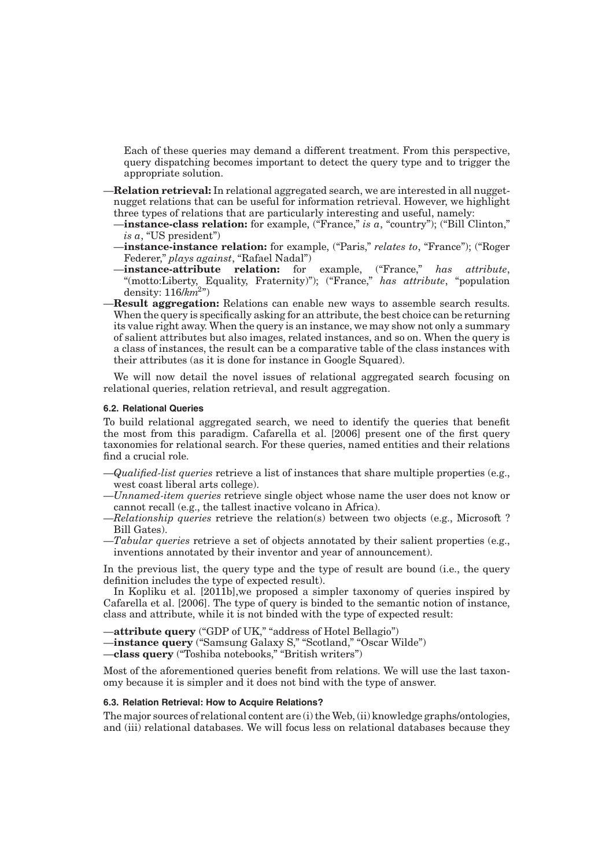Each of these queries may demand a different treatment. From this perspective, query dispatching becomes important to detect the query type and to trigger the appropriate solution.

- —**Relation retrieval:** In relational aggregated search, we are interested in all nuggetnugget relations that can be useful for information retrieval. However, we highlight three types of relations that are particularly interesting and useful, namely:
	- —**instance-class relation:** for example, ("France," *is a*, "country"); ("Bill Clinton," *is a*, "US president")
	- —**instance-instance relation:** for example, ("Paris," *relates to*, "France"); ("Roger Federer," *plays against*, "Rafael Nadal")
	- —**instance-attribute relation:** for example, ("France," *has attribute*, "(motto:Liberty, Equality, Fraternity)"); ("France," *has attribute*, "population density: 116/*km*<sup>2</sup> ")
- —**Result aggregation:** Relations can enable new ways to assemble search results. When the query is specifically asking for an attribute, the best choice can be returning its value right away. When the query is an instance, we may show not only a summary of salient attributes but also images, related instances, and so on. When the query is a class of instances, the result can be a comparative table of the class instances with their attributes (as it is done for instance in Google Squared).

We will now detail the novel issues of relational aggregated search focusing on relational queries, relation retrieval, and result aggregation.

## **6.2. Relational Queries**

To build relational aggregated search, we need to identify the queries that benefit the most from this paradigm. Cafarella et al. [2006] present one of the first query taxonomies for relational search. For these queries, named entities and their relations find a crucial role.

- —*Qualified-list queries* retrieve a list of instances that share multiple properties (e.g., west coast liberal arts college).
- —*Unnamed-item queries* retrieve single object whose name the user does not know or cannot recall (e.g., the tallest inactive volcano in Africa).
- —*Relationship queries* retrieve the relation(s) between two objects (e.g., Microsoft ? Bill Gates).
- —*Tabular queries* retrieve a set of objects annotated by their salient properties (e.g., inventions annotated by their inventor and year of announcement).

In the previous list, the query type and the type of result are bound (i.e., the query definition includes the type of expected result).

In Kopliku et al. [2011b],we proposed a simpler taxonomy of queries inspired by Cafarella et al. [2006]. The type of query is binded to the semantic notion of instance, class and attribute, while it is not binded with the type of expected result:

—**attribute query** ("GDP of UK," "address of Hotel Bellagio")

- —**instance query** ("Samsung Galaxy S," "Scotland," "Oscar Wilde")
- —**class query** ("Toshiba notebooks," "British writers")

Most of the aforementioned queries benefit from relations. We will use the last taxonomy because it is simpler and it does not bind with the type of answer.

#### **6.3. Relation Retrieval: How to Acquire Relations?**

The major sources of relational content are (i) the Web, (ii) knowledge graphs/ontologies, and (iii) relational databases. We will focus less on relational databases because they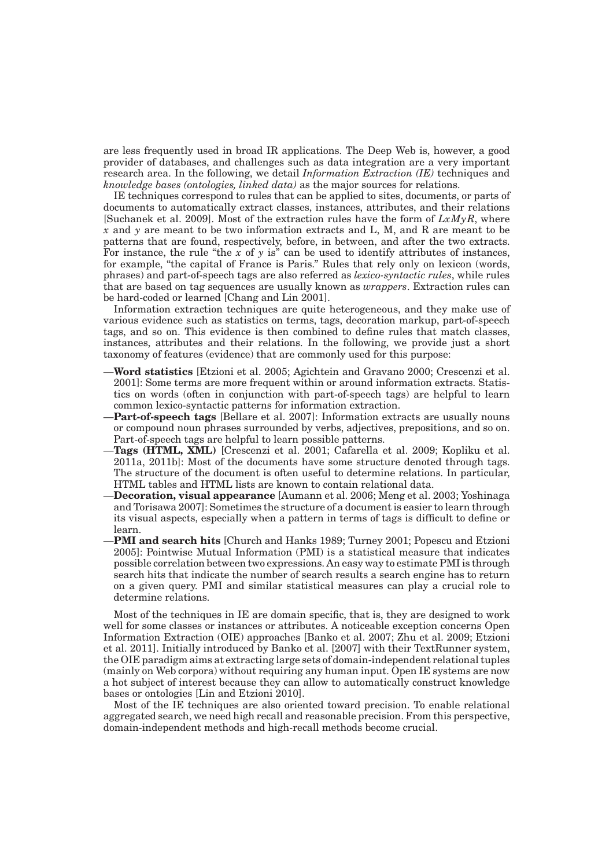are less frequently used in broad IR applications. The Deep Web is, however, a good provider of databases, and challenges such as data integration are a very important research area. In the following, we detail *Information Extraction (IE)* techniques and *knowledge bases (ontologies, linked data)* as the major sources for relations.

IE techniques correspond to rules that can be applied to sites, documents, or parts of documents to automatically extract classes, instances, attributes, and their relations [Suchanek et al. 2009]. Most of the extraction rules have the form of *LxMyR*, where *x* and *y* are meant to be two information extracts and L, M, and R are meant to be patterns that are found, respectively, before, in between, and after the two extracts. For instance, the rule "the  $\overline{x}$  of  $y$  is" can be used to identify attributes of instances, for example, "the capital of France is Paris." Rules that rely only on lexicon (words, phrases) and part-of-speech tags are also referred as *lexico-syntactic rules*, while rules that are based on tag sequences are usually known as *wrappers*. Extraction rules can be hard-coded or learned [Chang and Lin 2001].

Information extraction techniques are quite heterogeneous, and they make use of various evidence such as statistics on terms, tags, decoration markup, part-of-speech tags, and so on. This evidence is then combined to define rules that match classes, instances, attributes and their relations. In the following, we provide just a short taxonomy of features (evidence) that are commonly used for this purpose:

- —**Word statistics** [Etzioni et al. 2005; Agichtein and Gravano 2000; Crescenzi et al. 2001]: Some terms are more frequent within or around information extracts. Statistics on words (often in conjunction with part-of-speech tags) are helpful to learn common lexico-syntactic patterns for information extraction.
- —**Part-of-speech tags** [Bellare et al. 2007]: Information extracts are usually nouns or compound noun phrases surrounded by verbs, adjectives, prepositions, and so on. Part-of-speech tags are helpful to learn possible patterns.
- —**Tags (HTML, XML)** [Crescenzi et al. 2001; Cafarella et al. 2009; Kopliku et al. 2011a, 2011b]: Most of the documents have some structure denoted through tags. The structure of the document is often useful to determine relations. In particular, HTML tables and HTML lists are known to contain relational data.
- —**Decoration, visual appearance** [Aumann et al. 2006; Meng et al. 2003; Yoshinaga and Torisawa 2007]: Sometimes the structure of a document is easier to learn through its visual aspects, especially when a pattern in terms of tags is difficult to define or learn.
- —**PMI and search hits** [Church and Hanks 1989; Turney 2001; Popescu and Etzioni 2005]: Pointwise Mutual Information (PMI) is a statistical measure that indicates possible correlation between two expressions. An easy way to estimate PMI is through search hits that indicate the number of search results a search engine has to return on a given query. PMI and similar statistical measures can play a crucial role to determine relations.

Most of the techniques in IE are domain specific, that is, they are designed to work well for some classes or instances or attributes. A noticeable exception concerns Open Information Extraction (OIE) approaches [Banko et al. 2007; Zhu et al. 2009; Etzioni et al. 2011]. Initially introduced by Banko et al. [2007] with their TextRunner system, the OIE paradigm aims at extracting large sets of domain-independent relational tuples (mainly on Web corpora) without requiring any human input. Open IE systems are now a hot subject of interest because they can allow to automatically construct knowledge bases or ontologies [Lin and Etzioni 2010].

Most of the IE techniques are also oriented toward precision. To enable relational aggregated search, we need high recall and reasonable precision. From this perspective, domain-independent methods and high-recall methods become crucial.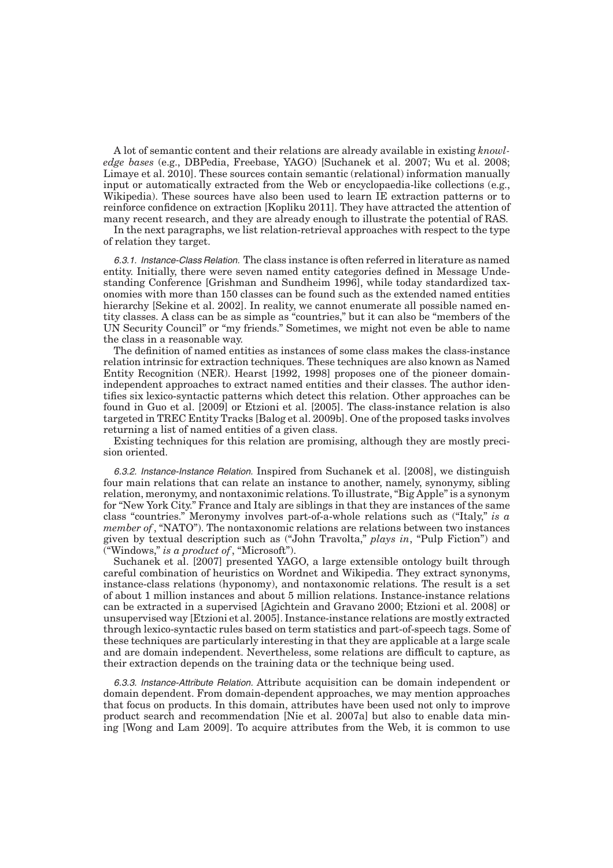A lot of semantic content and their relations are already available in existing *knowledge bases* (e.g., DBPedia, Freebase, YAGO) [Suchanek et al. 2007; Wu et al. 2008; Limaye et al. 2010]. These sources contain semantic (relational) information manually input or automatically extracted from the Web or encyclopaedia-like collections (e.g., Wikipedia). These sources have also been used to learn IE extraction patterns or to reinforce confidence on extraction [Kopliku 2011]. They have attracted the attention of many recent research, and they are already enough to illustrate the potential of RAS.

In the next paragraphs, we list relation-retrieval approaches with respect to the type of relation they target.

6.3.1. Instance-Class Relation. The class instance is often referred in literature as named entity. Initially, there were seven named entity categories defined in Message Undestanding Conference [Grishman and Sundheim 1996], while today standardized taxonomies with more than 150 classes can be found such as the extended named entities hierarchy [Sekine et al. 2002]. In reality, we cannot enumerate all possible named entity classes. A class can be as simple as "countries," but it can also be "members of the UN Security Council" or "my friends." Sometimes, we might not even be able to name the class in a reasonable way.

The definition of named entities as instances of some class makes the class-instance relation intrinsic for extraction techniques. These techniques are also known as Named Entity Recognition (NER). Hearst [1992, 1998] proposes one of the pioneer domainindependent approaches to extract named entities and their classes. The author identifies six lexico-syntactic patterns which detect this relation. Other approaches can be found in Guo et al. [2009] or Etzioni et al. [2005]. The class-instance relation is also targeted in TREC Entity Tracks [Balog et al. 2009b]. One of the proposed tasks involves returning a list of named entities of a given class.

Existing techniques for this relation are promising, although they are mostly precision oriented.

6.3.2. Instance-Instance Relation. Inspired from Suchanek et al. [2008], we distinguish four main relations that can relate an instance to another, namely, synonymy, sibling relation, meronymy, and nontaxonimic relations. To illustrate, "Big Apple" is a synonym for "New York City." France and Italy are siblings in that they are instances of the same class "countries." Meronymy involves part-of-a-whole relations such as ("Italy," *is a member of*, "NATO"). The nontaxonomic relations are relations between two instances given by textual description such as ("John Travolta," *plays in*, "Pulp Fiction") and ("Windows," *is a product of*, "Microsoft").

Suchanek et al. [2007] presented YAGO, a large extensible ontology built through careful combination of heuristics on Wordnet and Wikipedia. They extract synonyms, instance-class relations (hyponomy), and nontaxonomic relations. The result is a set of about 1 million instances and about 5 million relations. Instance-instance relations can be extracted in a supervised [Agichtein and Gravano 2000; Etzioni et al. 2008] or unsupervised way [Etzioni et al. 2005]. Instance-instance relations are mostly extracted through lexico-syntactic rules based on term statistics and part-of-speech tags. Some of these techniques are particularly interesting in that they are applicable at a large scale and are domain independent. Nevertheless, some relations are difficult to capture, as their extraction depends on the training data or the technique being used.

6.3.3. Instance-Attribute Relation. Attribute acquisition can be domain independent or domain dependent. From domain-dependent approaches, we may mention approaches that focus on products. In this domain, attributes have been used not only to improve product search and recommendation [Nie et al. 2007a] but also to enable data mining [Wong and Lam 2009]. To acquire attributes from the Web, it is common to use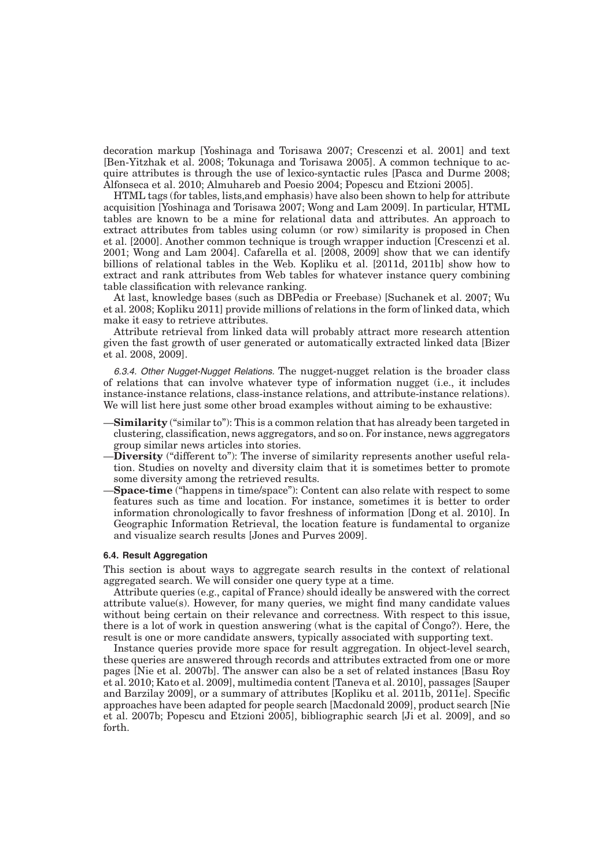decoration markup [Yoshinaga and Torisawa 2007; Crescenzi et al. 2001] and text [Ben-Yitzhak et al. 2008; Tokunaga and Torisawa 2005]. A common technique to acquire attributes is through the use of lexico-syntactic rules [Pasca and Durme 2008; Alfonseca et al. 2010; Almuhareb and Poesio 2004; Popescu and Etzioni 2005].

HTML tags (for tables, lists,and emphasis) have also been shown to help for attribute acquisition [Yoshinaga and Torisawa 2007; Wong and Lam 2009]. In particular, HTML tables are known to be a mine for relational data and attributes. An approach to extract attributes from tables using column (or row) similarity is proposed in Chen et al. [2000]. Another common technique is trough wrapper induction [Crescenzi et al. 2001; Wong and Lam 2004]. Cafarella et al. [2008, 2009] show that we can identify billions of relational tables in the Web. Kopliku et al. [2011d, 2011b] show how to extract and rank attributes from Web tables for whatever instance query combining table classification with relevance ranking.

At last, knowledge bases (such as DBPedia or Freebase) [Suchanek et al. 2007; Wu et al. 2008; Kopliku 2011] provide millions of relations in the form of linked data, which make it easy to retrieve attributes.

Attribute retrieval from linked data will probably attract more research attention given the fast growth of user generated or automatically extracted linked data [Bizer et al. 2008, 2009].

6.3.4. Other Nugget-Nugget Relations. The nugget-nugget relation is the broader class of relations that can involve whatever type of information nugget (i.e., it includes instance-instance relations, class-instance relations, and attribute-instance relations). We will list here just some other broad examples without aiming to be exhaustive:

- —**Similarity** ("similar to"): This is a common relation that has already been targeted in clustering, classification, news aggregators, and so on. For instance, news aggregators group similar news articles into stories.
- —**Diversity** ("different to"): The inverse of similarity represents another useful relation. Studies on novelty and diversity claim that it is sometimes better to promote some diversity among the retrieved results.
- —**Space-time** ("happens in time/space"): Content can also relate with respect to some features such as time and location. For instance, sometimes it is better to order information chronologically to favor freshness of information [Dong et al. 2010]. In Geographic Information Retrieval, the location feature is fundamental to organize and visualize search results [Jones and Purves 2009].

#### **6.4. Result Aggregation**

This section is about ways to aggregate search results in the context of relational aggregated search. We will consider one query type at a time.

Attribute queries (e.g., capital of France) should ideally be answered with the correct attribute value(s). However, for many queries, we might find many candidate values without being certain on their relevance and correctness. With respect to this issue, there is a lot of work in question answering (what is the capital of Congo?). Here, the result is one or more candidate answers, typically associated with supporting text.

Instance queries provide more space for result aggregation. In object-level search, these queries are answered through records and attributes extracted from one or more pages [Nie et al. 2007b]. The answer can also be a set of related instances [Basu Roy et al. 2010; Kato et al. 2009], multimedia content [Taneva et al. 2010], passages [Sauper and Barzilay 2009], or a summary of attributes [Kopliku et al. 2011b, 2011e]. Specific approaches have been adapted for people search [Macdonald 2009], product search [Nie et al. 2007b; Popescu and Etzioni 2005], bibliographic search [Ji et al. 2009], and so forth.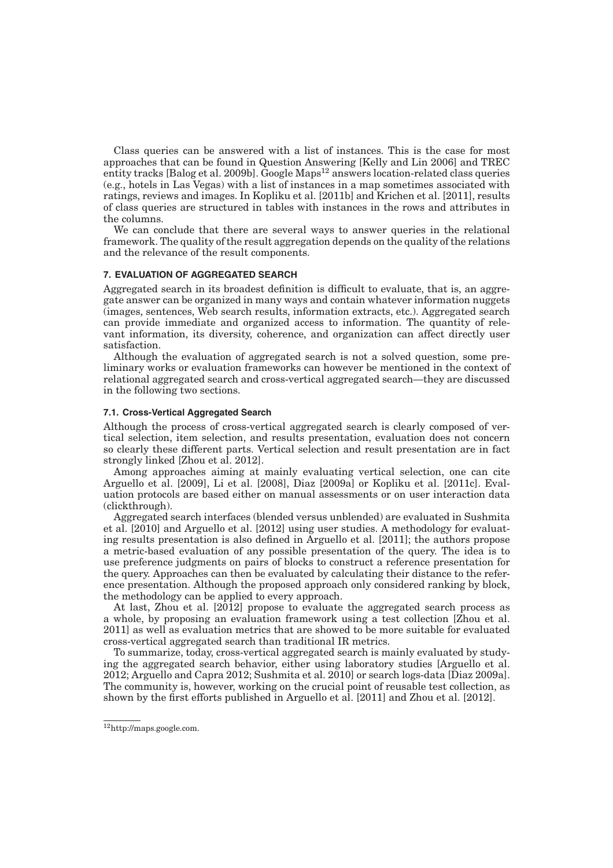Class queries can be answered with a list of instances. This is the case for most approaches that can be found in Question Answering [Kelly and Lin 2006] and TREC entity tracks [Balog et al. 2009b]. Google Maps<sup>12</sup> answers location-related class queries (e.g., hotels in Las Vegas) with a list of instances in a map sometimes associated with ratings, reviews and images. In Kopliku et al. [2011b] and Krichen et al. [2011], results of class queries are structured in tables with instances in the rows and attributes in the columns.

We can conclude that there are several ways to answer queries in the relational framework. The quality of the result aggregation depends on the quality of the relations and the relevance of the result components.

## **7. EVALUATION OF AGGREGATED SEARCH**

Aggregated search in its broadest definition is difficult to evaluate, that is, an aggregate answer can be organized in many ways and contain whatever information nuggets (images, sentences, Web search results, information extracts, etc.). Aggregated search can provide immediate and organized access to information. The quantity of relevant information, its diversity, coherence, and organization can affect directly user satisfaction.

Although the evaluation of aggregated search is not a solved question, some preliminary works or evaluation frameworks can however be mentioned in the context of relational aggregated search and cross-vertical aggregated search—they are discussed in the following two sections.

## **7.1. Cross-Vertical Aggregated Search**

Although the process of cross-vertical aggregated search is clearly composed of vertical selection, item selection, and results presentation, evaluation does not concern so clearly these different parts. Vertical selection and result presentation are in fact strongly linked [Zhou et al. 2012].

Among approaches aiming at mainly evaluating vertical selection, one can cite Arguello et al. [2009], Li et al. [2008], Diaz [2009a] or Kopliku et al. [2011c]. Evaluation protocols are based either on manual assessments or on user interaction data (clickthrough).

Aggregated search interfaces (blended versus unblended) are evaluated in Sushmita et al. [2010] and Arguello et al. [2012] using user studies. A methodology for evaluating results presentation is also defined in Arguello et al. [2011]; the authors propose a metric-based evaluation of any possible presentation of the query. The idea is to use preference judgments on pairs of blocks to construct a reference presentation for the query. Approaches can then be evaluated by calculating their distance to the reference presentation. Although the proposed approach only considered ranking by block, the methodology can be applied to every approach.

At last, Zhou et al. [2012] propose to evaluate the aggregated search process as a whole, by proposing an evaluation framework using a test collection [Zhou et al. 2011] as well as evaluation metrics that are showed to be more suitable for evaluated cross-vertical aggregated search than traditional IR metrics.

To summarize, today, cross-vertical aggregated search is mainly evaluated by studying the aggregated search behavior, either using laboratory studies [Arguello et al. 2012; Arguello and Capra 2012; Sushmita et al. 2010] or search logs-data [Diaz 2009a]. The community is, however, working on the crucial point of reusable test collection, as shown by the first efforts published in Arguello et al. [2011] and Zhou et al. [2012].

 $\rm ^{12}$  http://maps.google.com.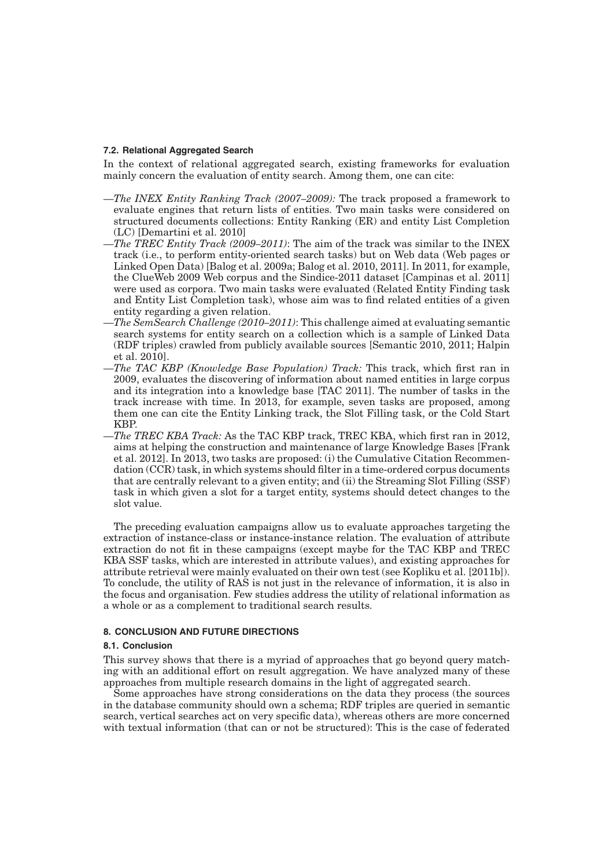## **7.2. Relational Aggregated Search**

In the context of relational aggregated search, existing frameworks for evaluation mainly concern the evaluation of entity search. Among them, one can cite:

- —*The INEX Entity Ranking Track (2007–2009):* The track proposed a framework to evaluate engines that return lists of entities. Two main tasks were considered on structured documents collections: Entity Ranking (ER) and entity List Completion (LC) [Demartini et al. 2010]
- —*The TREC Entity Track (2009–2011)*: The aim of the track was similar to the INEX track (i.e., to perform entity-oriented search tasks) but on Web data (Web pages or Linked Open Data) [Balog et al. 2009a; Balog et al. 2010, 2011]. In 2011, for example, the ClueWeb 2009 Web corpus and the Sindice-2011 dataset [Campinas et al. 2011] were used as corpora. Two main tasks were evaluated (Related Entity Finding task and Entity List Completion task), whose aim was to find related entities of a given entity regarding a given relation.
- —*The SemSearch Challenge (2010–2011)*: This challenge aimed at evaluating semantic search systems for entity search on a collection which is a sample of Linked Data (RDF triples) crawled from publicly available sources [Semantic 2010, 2011; Halpin et al. 2010].
- —*The TAC KBP (Knowledge Base Population) Track:* This track, which first ran in 2009, evaluates the discovering of information about named entities in large corpus and its integration into a knowledge base [TAC 2011]. The number of tasks in the track increase with time. In 2013, for example, seven tasks are proposed, among them one can cite the Entity Linking track, the Slot Filling task, or the Cold Start KBP.
- —*The TREC KBA Track:* As the TAC KBP track, TREC KBA, which first ran in 2012, aims at helping the construction and maintenance of large Knowledge Bases [Frank et al. 2012]. In 2013, two tasks are proposed: (i) the Cumulative Citation Recommendation (CCR) task, in which systems should filter in a time-ordered corpus documents that are centrally relevant to a given entity; and (ii) the Streaming Slot Filling (SSF) task in which given a slot for a target entity, systems should detect changes to the slot value.

The preceding evaluation campaigns allow us to evaluate approaches targeting the extraction of instance-class or instance-instance relation. The evaluation of attribute extraction do not fit in these campaigns (except maybe for the TAC KBP and TREC KBA SSF tasks, which are interested in attribute values), and existing approaches for attribute retrieval were mainly evaluated on their own test (see Kopliku et al. [2011b]). To conclude, the utility of RAS is not just in the relevance of information, it is also in the focus and organisation. Few studies address the utility of relational information as a whole or as a complement to traditional search results.

## **8. CONCLUSION AND FUTURE DIRECTIONS**

## **8.1. Conclusion**

This survey shows that there is a myriad of approaches that go beyond query matching with an additional effort on result aggregation. We have analyzed many of these approaches from multiple research domains in the light of aggregated search.

Some approaches have strong considerations on the data they process (the sources in the database community should own a schema; RDF triples are queried in semantic search, vertical searches act on very specific data), whereas others are more concerned with textual information (that can or not be structured): This is the case of federated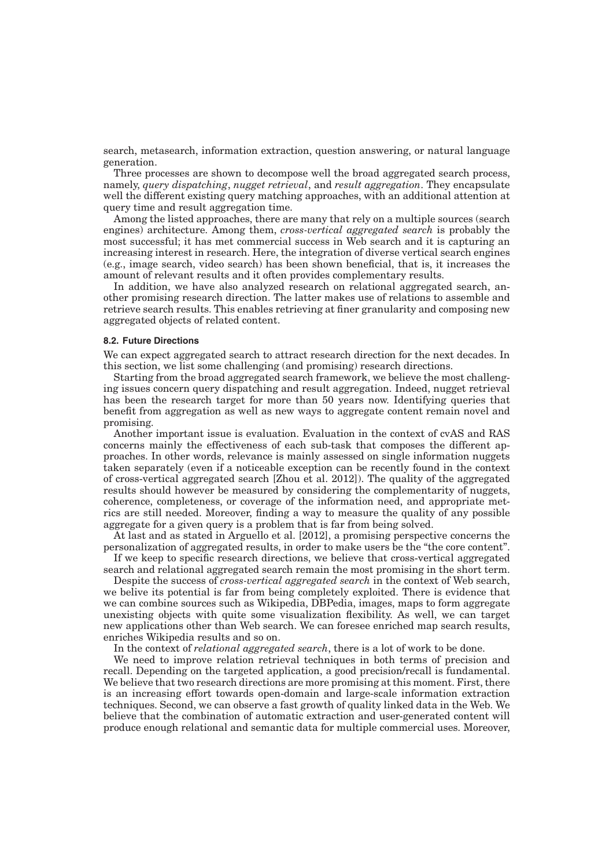search, metasearch, information extraction, question answering, or natural language generation.

Three processes are shown to decompose well the broad aggregated search process, namely, *query dispatching*, *nugget retrieval*, and *result aggregation*. They encapsulate well the different existing query matching approaches, with an additional attention at query time and result aggregation time.

Among the listed approaches, there are many that rely on a multiple sources (search engines) architecture. Among them, *cross-vertical aggregated search* is probably the most successful; it has met commercial success in Web search and it is capturing an increasing interest in research. Here, the integration of diverse vertical search engines (e.g., image search, video search) has been shown beneficial, that is, it increases the amount of relevant results and it often provides complementary results.

In addition, we have also analyzed research on relational aggregated search, another promising research direction. The latter makes use of relations to assemble and retrieve search results. This enables retrieving at finer granularity and composing new aggregated objects of related content.

#### **8.2. Future Directions**

We can expect aggregated search to attract research direction for the next decades. In this section, we list some challenging (and promising) research directions.

Starting from the broad aggregated search framework, we believe the most challenging issues concern query dispatching and result aggregation. Indeed, nugget retrieval has been the research target for more than 50 years now. Identifying queries that benefit from aggregation as well as new ways to aggregate content remain novel and promising.

Another important issue is evaluation. Evaluation in the context of cvAS and RAS concerns mainly the effectiveness of each sub-task that composes the different approaches. In other words, relevance is mainly assessed on single information nuggets taken separately (even if a noticeable exception can be recently found in the context of cross-vertical aggregated search [Zhou et al. 2012]). The quality of the aggregated results should however be measured by considering the complementarity of nuggets, coherence, completeness, or coverage of the information need, and appropriate metrics are still needed. Moreover, finding a way to measure the quality of any possible aggregate for a given query is a problem that is far from being solved.

At last and as stated in Arguello et al. [2012], a promising perspective concerns the personalization of aggregated results, in order to make users be the "the core content".

If we keep to specific research directions, we believe that cross-vertical aggregated search and relational aggregated search remain the most promising in the short term.

Despite the success of *cross-vertical aggregated search* in the context of Web search, we belive its potential is far from being completely exploited. There is evidence that we can combine sources such as Wikipedia, DBPedia, images, maps to form aggregate unexisting objects with quite some visualization flexibility. As well, we can target new applications other than Web search. We can foresee enriched map search results, enriches Wikipedia results and so on.

In the context of *relational aggregated search*, there is a lot of work to be done.

We need to improve relation retrieval techniques in both terms of precision and recall. Depending on the targeted application, a good precision/recall is fundamental. We believe that two research directions are more promising at this moment. First, there is an increasing effort towards open-domain and large-scale information extraction techniques. Second, we can observe a fast growth of quality linked data in the Web. We believe that the combination of automatic extraction and user-generated content will produce enough relational and semantic data for multiple commercial uses. Moreover,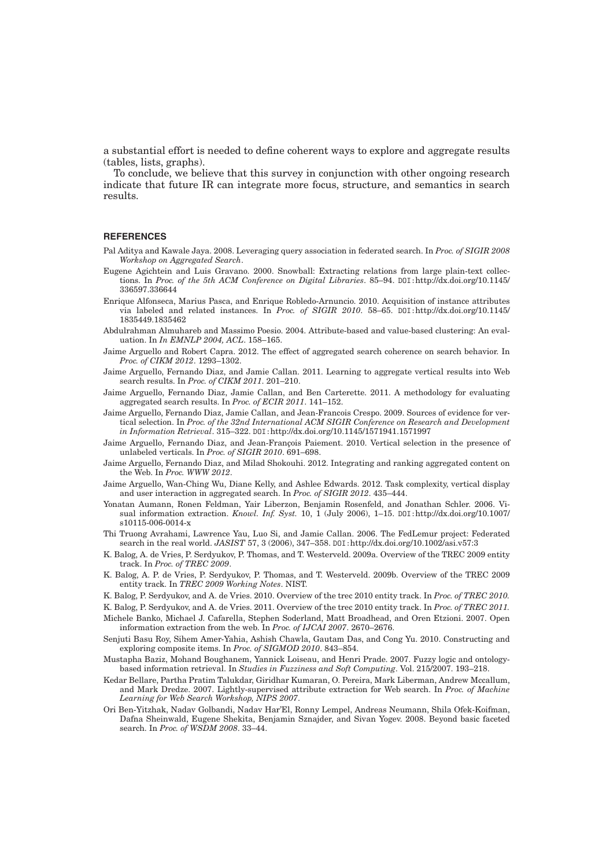a substantial effort is needed to define coherent ways to explore and aggregate results (tables, lists, graphs).

To conclude, we believe that this survey in conjunction with other ongoing research indicate that future IR can integrate more focus, structure, and semantics in search results.

#### **REFERENCES**

- Pal Aditya and Kawale Jaya. 2008. Leveraging query association in federated search. In *Proc. of SIGIR 2008 Workshop on Aggregated Search*.
- Eugene Agichtein and Luis Gravano. 2000. Snowball: Extracting relations from large plain-text collections. In *Proc. of the 5th ACM Conference on Digital Libraries*. 85–94. DOI:http://dx.doi.org/10.1145/ 336597.336644
- Enrique Alfonseca, Marius Pasca, and Enrique Robledo-Arnuncio. 2010. Acquisition of instance attributes via labeled and related instances. In *Proc. of SIGIR 2010*. 58–65. DOI:http://dx.doi.org/10.1145/ 1835449.1835462
- Abdulrahman Almuhareb and Massimo Poesio. 2004. Attribute-based and value-based clustering: An evaluation. In *In EMNLP 2004, ACL*. 158–165.
- Jaime Arguello and Robert Capra. 2012. The effect of aggregated search coherence on search behavior. In *Proc. of CIKM 2012*. 1293–1302.
- Jaime Arguello, Fernando Diaz, and Jamie Callan. 2011. Learning to aggregate vertical results into Web search results. In *Proc. of CIKM 2011*. 201–210.
- Jaime Arguello, Fernando Diaz, Jamie Callan, and Ben Carterette. 2011. A methodology for evaluating aggregated search results. In *Proc. of ECIR 2011*. 141–152.
- Jaime Arguello, Fernando Diaz, Jamie Callan, and Jean-Francois Crespo. 2009. Sources of evidence for vertical selection. In *Proc. of the 32nd International ACM SIGIR Conference on Research and Development in Information Retrieval*. 315–322. DOI:http://dx.doi.org/10.1145/1571941.1571997
- Jaime Arguello, Fernando Diaz, and Jean-François Paiement. 2010. Vertical selection in the presence of unlabeled verticals. In *Proc. of SIGIR 2010*. 691–698.
- Jaime Arguello, Fernando Diaz, and Milad Shokouhi. 2012. Integrating and ranking aggregated content on the Web. In *Proc. WWW 2012*.
- Jaime Arguello, Wan-Ching Wu, Diane Kelly, and Ashlee Edwards. 2012. Task complexity, vertical display and user interaction in aggregated search. In *Proc. of SIGIR 2012*. 435–444.
- Yonatan Aumann, Ronen Feldman, Yair Liberzon, Benjamin Rosenfeld, and Jonathan Schler. 2006. Visual information extraction. *Knowl. Inf. Syst.* 10, 1 (July 2006), 1–15. DOI:http://dx.doi.org/10.1007/ s10115-006-0014-x
- Thi Truong Avrahami, Lawrence Yau, Luo Si, and Jamie Callan. 2006. The FedLemur project: Federated search in the real world. *JASIST* 57, 3 (2006), 347–358. DOI:http://dx.doi.org/10.1002/asi.v57:3
- K. Balog, A. de Vries, P. Serdyukov, P. Thomas, and T. Westerveld. 2009a. Overview of the TREC 2009 entity track. In *Proc. of TREC 2009*.
- K. Balog, A. P. de Vries, P. Serdyukov, P. Thomas, and T. Westerveld. 2009b. Overview of the TREC 2009 entity track. In *TREC 2009 Working Notes*. NIST.
- K. Balog, P. Serdyukov, and A. de Vries. 2010. Overview of the trec 2010 entity track. In *Proc. of TREC 2010.*
- K. Balog, P. Serdyukov, and A. de Vries. 2011. Overview of the trec 2010 entity track. In *Proc. of TREC 2011.*
- Michele Banko, Michael J. Cafarella, Stephen Soderland, Matt Broadhead, and Oren Etzioni. 2007. Open information extraction from the web. In *Proc. of IJCAI 2007*. 2670–2676.
- Senjuti Basu Roy, Sihem Amer-Yahia, Ashish Chawla, Gautam Das, and Cong Yu. 2010. Constructing and exploring composite items. In *Proc. of SIGMOD 2010*. 843–854.
- Mustapha Baziz, Mohand Boughanem, Yannick Loiseau, and Henri Prade. 2007. Fuzzy logic and ontologybased information retrieval. In *Studies in Fuzziness and Soft Computing*. Vol. 215/2007. 193–218.
- Kedar Bellare, Partha Pratim Talukdar, Giridhar Kumaran, O. Pereira, Mark Liberman, Andrew Mccallum, and Mark Dredze. 2007. Lightly-supervised attribute extraction for Web search. In *Proc. of Machine Learning for Web Search Workshop, NIPS 2007*.
- Ori Ben-Yitzhak, Nadav Golbandi, Nadav Har'El, Ronny Lempel, Andreas Neumann, Shila Ofek-Koifman, Dafna Sheinwald, Eugene Shekita, Benjamin Sznajder, and Sivan Yogev. 2008. Beyond basic faceted search. In *Proc. of WSDM 2008*. 33–44.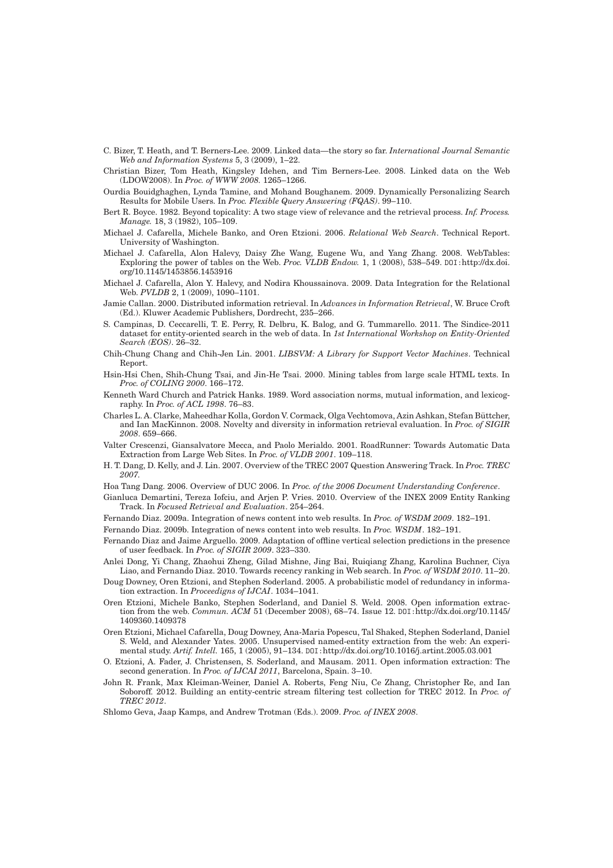- C. Bizer, T. Heath, and T. Berners-Lee. 2009. Linked data—the story so far. *International Journal Semantic Web and Information Systems* 5, 3 (2009), 1–22.
- Christian Bizer, Tom Heath, Kingsley Idehen, and Tim Berners-Lee. 2008. Linked data on the Web (LDOW2008). In *Proc. of WWW 2008.* 1265–1266.
- Ourdia Bouidghaghen, Lynda Tamine, and Mohand Boughanem. 2009. Dynamically Personalizing Search Results for Mobile Users. In *Proc. Flexible Query Answering (FQAS)*. 99–110.
- Bert R. Boyce. 1982. Beyond topicality: A two stage view of relevance and the retrieval process. *Inf. Process. Manage.* 18, 3 (1982), 105–109.
- Michael J. Cafarella, Michele Banko, and Oren Etzioni. 2006. *Relational Web Search*. Technical Report. University of Washington.
- Michael J. Cafarella, Alon Halevy, Daisy Zhe Wang, Eugene Wu, and Yang Zhang. 2008. WebTables: Exploring the power of tables on the Web. *Proc. VLDB Endow.* 1, 1 (2008), 538–549. DOI:http://dx.doi. org/10.1145/1453856.1453916
- Michael J. Cafarella, Alon Y. Halevy, and Nodira Khoussainova. 2009. Data Integration for the Relational Web. *PVLDB* 2, 1 (2009), 1090–1101.
- Jamie Callan. 2000. Distributed information retrieval. In *Advances in Information Retrieval*, W. Bruce Croft (Ed.). Kluwer Academic Publishers, Dordrecht, 235–266.
- S. Campinas, D. Ceccarelli, T. E. Perry, R. Delbru, K. Balog, and G. Tummarello. 2011. The Sindice-2011 dataset for entity-oriented search in the web of data. In *1st International Workshop on Entity-Oriented Search (EOS)*. 26–32.
- Chih-Chung Chang and Chih-Jen Lin. 2001. *LIBSVM: A Library for Support Vector Machines*. Technical Report.
- Hsin-Hsi Chen, Shih-Chung Tsai, and Jin-He Tsai. 2000. Mining tables from large scale HTML texts. In *Proc. of COLING 2000*. 166–172.
- Kenneth Ward Church and Patrick Hanks. 1989. Word association norms, mutual information, and lexicography. In *Proc. of ACL 1998*. 76–83.
- Charles L. A. Clarke, Maheedhar Kolla, Gordon V. Cormack, Olga Vechtomova, Azin Ashkan, Stefan Buttcher, ¨ and Ian MacKinnon. 2008. Novelty and diversity in information retrieval evaluation. In *Proc. of SIGIR 2008*. 659–666.
- Valter Crescenzi, Giansalvatore Mecca, and Paolo Merialdo. 2001. RoadRunner: Towards Automatic Data Extraction from Large Web Sites. In *Proc. of VLDB 2001*. 109–118.
- H. T. Dang, D. Kelly, and J. Lin. 2007. Overview of the TREC 2007 Question Answering Track. In *Proc. TREC 2007.*
- Hoa Tang Dang. 2006. Overview of DUC 2006. In *Proc. of the 2006 Document Understanding Conference*.
- Gianluca Demartini, Tereza Iofciu, and Arjen P. Vries. 2010. Overview of the INEX 2009 Entity Ranking Track. In *Focused Retrieval and Evaluation*. 254–264.
- Fernando Diaz. 2009a. Integration of news content into web results. In *Proc. of WSDM 2009*. 182–191.
- Fernando Diaz. 2009b. Integration of news content into web results. In *Proc. WSDM*. 182–191.
- Fernando Diaz and Jaime Arguello. 2009. Adaptation of offline vertical selection predictions in the presence of user feedback. In *Proc. of SIGIR 2009*. 323–330.
- Anlei Dong, Yi Chang, Zhaohui Zheng, Gilad Mishne, Jing Bai, Ruiqiang Zhang, Karolina Buchner, Ciya Liao, and Fernando Diaz. 2010. Towards recency ranking in Web search. In *Proc. of WSDM 2010*. 11–20.
- Doug Downey, Oren Etzioni, and Stephen Soderland. 2005. A probabilistic model of redundancy in information extraction. In *Proceedigns of IJCAI*. 1034–1041.
- Oren Etzioni, Michele Banko, Stephen Soderland, and Daniel S. Weld. 2008. Open information extraction from the web. *Commun. ACM* 51 (December 2008), 68–74. Issue 12. DOI:http://dx.doi.org/10.1145/ 1409360.1409378
- Oren Etzioni, Michael Cafarella, Doug Downey, Ana-Maria Popescu, Tal Shaked, Stephen Soderland, Daniel S. Weld, and Alexander Yates. 2005. Unsupervised named-entity extraction from the web: An experimental study. *Artif. Intell.* 165, 1 (2005), 91–134. DOI:http://dx.doi.org/10.1016/j.artint.2005.03.001
- O. Etzioni, A. Fader, J. Christensen, S. Soderland, and Mausam. 2011. Open information extraction: The second generation. In *Proc. of IJCAI 2011*, Barcelona, Spain. 3–10.
- John R. Frank, Max Kleiman-Weiner, Daniel A. Roberts, Feng Niu, Ce Zhang, Christopher Re, and Ian Soboroff. 2012. Building an entity-centric stream filtering test collection for TREC 2012. In *Proc. of TREC 2012*.
- Shlomo Geva, Jaap Kamps, and Andrew Trotman (Eds.). 2009. *Proc. of INEX 2008*.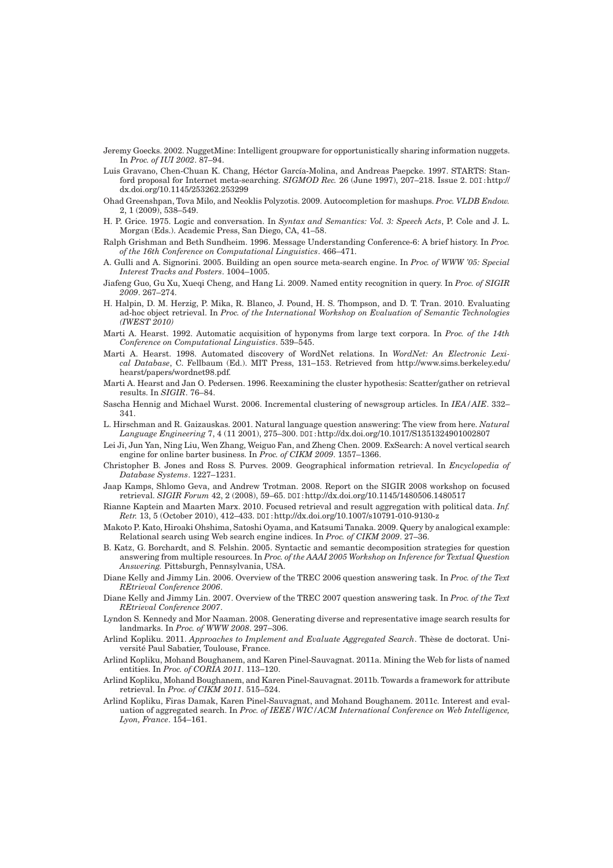- Jeremy Goecks. 2002. NuggetMine: Intelligent groupware for opportunistically sharing information nuggets. In *Proc. of IUI 2002*. 87–94.
- Luis Gravano, Chen-Chuan K. Chang, Héctor García-Molina, and Andreas Paepcke. 1997. STARTS: Stanford proposal for Internet meta-searching. *SIGMOD Rec.* 26 (June 1997), 207–218. Issue 2. DOI:http:// dx.doi.org/10.1145/253262.253299
- Ohad Greenshpan, Tova Milo, and Neoklis Polyzotis. 2009. Autocompletion for mashups. *Proc. VLDB Endow.* 2, 1 (2009), 538–549.
- H. P. Grice. 1975. Logic and conversation. In *Syntax and Semantics: Vol. 3: Speech Acts*, P. Cole and J. L. Morgan (Eds.). Academic Press, San Diego, CA, 41–58.
- Ralph Grishman and Beth Sundheim. 1996. Message Understanding Conference-6: A brief history. In *Proc. of the 16th Conference on Computational Linguistics*. 466–471.
- A. Gulli and A. Signorini. 2005. Building an open source meta-search engine. In *Proc. of WWW '05: Special Interest Tracks and Posters*. 1004–1005.
- Jiafeng Guo, Gu Xu, Xueqi Cheng, and Hang Li. 2009. Named entity recognition in query. In *Proc. of SIGIR 2009*. 267–274.
- H. Halpin, D. M. Herzig, P. Mika, R. Blanco, J. Pound, H. S. Thompson, and D. T. Tran. 2010. Evaluating ad-hoc object retrieval. In *Proc. of the International Workshop on Evaluation of Semantic Technologies (IWEST 2010)*
- Marti A. Hearst. 1992. Automatic acquisition of hyponyms from large text corpora. In *Proc. of the 14th Conference on Computational Linguistics*. 539–545.
- Marti A. Hearst. 1998. Automated discovery of WordNet relations. In *WordNet: An Electronic Lexical Database*, C. Fellbaum (Ed.). MIT Press, 131–153. Retrieved from http://www.sims.berkeley.edu/ hearst/papers/wordnet98.pdf.
- Marti A. Hearst and Jan O. Pedersen. 1996. Reexamining the cluster hypothesis: Scatter/gather on retrieval results. In *SIGIR*. 76–84.
- Sascha Hennig and Michael Wurst. 2006. Incremental clustering of newsgroup articles. In *IEA/AIE*. 332– 341.
- L. Hirschman and R. Gaizauskas. 2001. Natural language question answering: The view from here. *Natural Language Engineering* 7, 4 (11 2001), 275–300. DOI:http://dx.doi.org/10.1017/S1351324901002807
- Lei Ji, Jun Yan, Ning Liu, Wen Zhang, Weiguo Fan, and Zheng Chen. 2009. ExSearch: A novel vertical search engine for online barter business. In *Proc. of CIKM 2009*. 1357–1366.
- Christopher B. Jones and Ross S. Purves. 2009. Geographical information retrieval. In *Encyclopedia of Database Systems*. 1227–1231.
- Jaap Kamps, Shlomo Geva, and Andrew Trotman. 2008. Report on the SIGIR 2008 workshop on focused retrieval. *SIGIR Forum* 42, 2 (2008), 59–65. DOI:http://dx.doi.org/10.1145/1480506.1480517
- Rianne Kaptein and Maarten Marx. 2010. Focused retrieval and result aggregation with political data. *Inf. Retr.* 13, 5 (October 2010), 412–433. DOI:http://dx.doi.org/10.1007/s10791-010-9130-z
- Makoto P. Kato, Hiroaki Ohshima, Satoshi Oyama, and Katsumi Tanaka. 2009. Query by analogical example: Relational search using Web search engine indices. In *Proc. of CIKM 2009*. 27–36.
- B. Katz, G. Borchardt, and S. Felshin. 2005. Syntactic and semantic decomposition strategies for question answering from multiple resources. In *Proc. of the AAAI 2005 Workshop on Inference for Textual Question Answering.* Pittsburgh, Pennsylvania, USA.
- Diane Kelly and Jimmy Lin. 2006. Overview of the TREC 2006 question answering task. In *Proc. of the Text REtrieval Conference 2006*.
- Diane Kelly and Jimmy Lin. 2007. Overview of the TREC 2007 question answering task. In *Proc. of the Text REtrieval Conference 2007*.
- Lyndon S. Kennedy and Mor Naaman. 2008. Generating diverse and representative image search results for landmarks. In *Proc. of WWW 2008*. 297–306.
- Arlind Kopliku. 2011. *Approaches to Implement and Evaluate Aggregated Search*. These de doctorat. Uni- ` versité Paul Sabatier, Toulouse, France.
- Arlind Kopliku, Mohand Boughanem, and Karen Pinel-Sauvagnat. 2011a. Mining the Web for lists of named entities. In *Proc. of CORIA 2011*. 113–120.
- Arlind Kopliku, Mohand Boughanem, and Karen Pinel-Sauvagnat. 2011b. Towards a framework for attribute retrieval. In *Proc. of CIKM 2011*. 515–524.
- Arlind Kopliku, Firas Damak, Karen Pinel-Sauvagnat, and Mohand Boughanem. 2011c. Interest and evaluation of aggregated search. In *Proc. of IEEE/WIC/ACM International Conference on Web Intelligence, Lyon, France*. 154–161.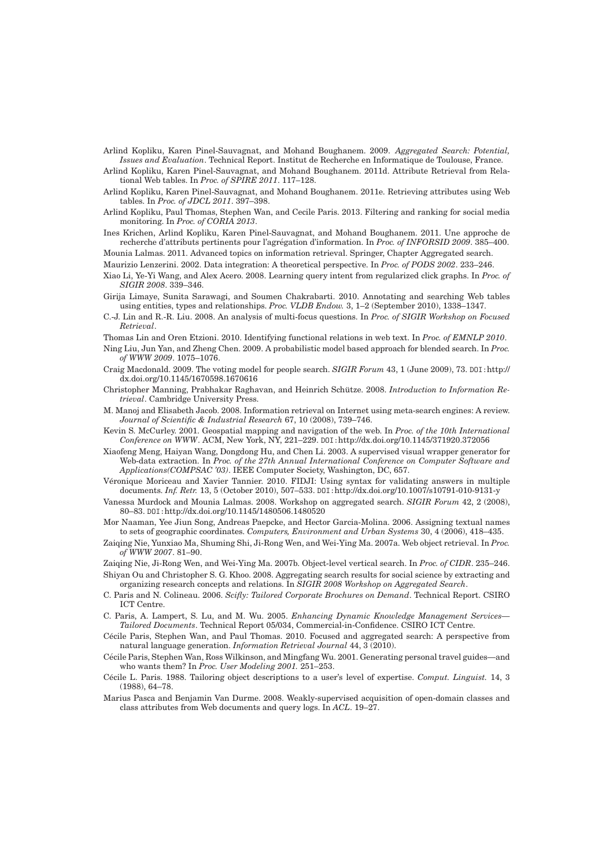- Arlind Kopliku, Karen Pinel-Sauvagnat, and Mohand Boughanem. 2009. *Aggregated Search: Potential, Issues and Evaluation*. Technical Report. Institut de Recherche en Informatique de Toulouse, France.
- Arlind Kopliku, Karen Pinel-Sauvagnat, and Mohand Boughanem. 2011d. Attribute Retrieval from Relational Web tables. In *Proc. of SPIRE 2011*. 117–128.
- Arlind Kopliku, Karen Pinel-Sauvagnat, and Mohand Boughanem. 2011e. Retrieving attributes using Web tables. In *Proc. of JDCL 2011*. 397–398.
- Arlind Kopliku, Paul Thomas, Stephen Wan, and Cecile Paris. 2013. Filtering and ranking for social media monitoring. In *Proc. of CORIA 2013*.
- Ines Krichen, Arlind Kopliku, Karen Pinel-Sauvagnat, and Mohand Boughanem. 2011. Une approche de recherche d'attributs pertinents pour l'agrégation d'information. In *Proc. of INFORSID 2009*. 385–400.
- Mounia Lalmas. 2011. Advanced topics on information retrieval. Springer, Chapter Aggregated search. Maurizio Lenzerini. 2002. Data integration: A theoretical perspective. In *Proc. of PODS 2002*. 233–246.
- Xiao Li, Ye-Yi Wang, and Alex Acero. 2008. Learning query intent from regularized click graphs. In *Proc. of SIGIR 2008*. 339–346.
- Girija Limaye, Sunita Sarawagi, and Soumen Chakrabarti. 2010. Annotating and searching Web tables using entities, types and relationships. *Proc. VLDB Endow.* 3, 1–2 (September 2010), 1338–1347.
- C.-J. Lin and R.-R. Liu. 2008. An analysis of multi-focus questions. In *Proc. of SIGIR Workshop on Focused Retrieval*.
- Thomas Lin and Oren Etzioni. 2010. Identifying functional relations in web text. In *Proc. of EMNLP 2010*.
- Ning Liu, Jun Yan, and Zheng Chen. 2009. A probabilistic model based approach for blended search. In *Proc. of WWW 2009*. 1075–1076.
- Craig Macdonald. 2009. The voting model for people search. *SIGIR Forum* 43, 1 (June 2009), 73. DOI:http:// dx.doi.org/10.1145/1670598.1670616
- Christopher Manning, Prabhakar Raghavan, and Heinrich Schütze. 2008. *Introduction to Information Retrieval*. Cambridge University Press.
- M. Manoj and Elisabeth Jacob. 2008. Information retrieval on Internet using meta-search engines: A review. *Journal of Scientific & Industrial Research* 67, 10 (2008), 739–746.
- Kevin S. McCurley. 2001. Geospatial mapping and navigation of the web. In *Proc. of the 10th International Conference on WWW*. ACM, New York, NY, 221–229. DOI:http://dx.doi.org/10.1145/371920.372056
- Xiaofeng Meng, Haiyan Wang, Dongdong Hu, and Chen Li. 2003. A supervised visual wrapper generator for Web-data extraction. In *Proc. of the 27th Annual International Conference on Computer Software and Applications(COMPSAC '03)*. IEEE Computer Society, Washington, DC, 657.
- Veronique Moriceau and Xavier Tannier. 2010. FIDJI: Using syntax for validating answers in multiple ´ documents. *Inf. Retr.* 13, 5 (October 2010), 507–533. DOI:http://dx.doi.org/10.1007/s10791-010-9131-y
- Vanessa Murdock and Mounia Lalmas. 2008. Workshop on aggregated search. *SIGIR Forum* 42, 2 (2008), 80–83. DOI:http://dx.doi.org/10.1145/1480506.1480520
- Mor Naaman, Yee Jiun Song, Andreas Paepcke, and Hector Garcia-Molina. 2006. Assigning textual names to sets of geographic coordinates. *Computers, Environment and Urban Systems* 30, 4 (2006), 418–435.
- Zaiqing Nie, Yunxiao Ma, Shuming Shi, Ji-Rong Wen, and Wei-Ying Ma. 2007a. Web object retrieval. In *Proc. of WWW 2007*. 81–90.
- Zaiqing Nie, Ji-Rong Wen, and Wei-Ying Ma. 2007b. Object-level vertical search. In *Proc. of CIDR*. 235–246. Shiyan Ou and Christopher S. G. Khoo. 2008. Aggregating search results for social science by extracting and organizing research concepts and relations. In *SIGIR 2008 Workshop on Aggregated Search*.
- C. Paris and N. Colineau. 2006. *Scifly: Tailored Corporate Brochures on Demand*. Technical Report. CSIRO ICT Centre.
- C. Paris, A. Lampert, S. Lu, and M. Wu. 2005. *Enhancing Dynamic Knowledge Management Services— Tailored Documents*. Technical Report 05/034, Commercial-in-Confidence. CSIRO ICT Centre.
- Cecile Paris, Stephen Wan, and Paul Thomas. 2010. Focused and aggregated search: A perspective from ´ natural language generation. *Information Retrieval Journal* 44, 3 (2010).
- Cecile Paris, Stephen Wan, Ross Wilkinson, and Mingfang Wu. 2001. Generating personal travel guides—and ´ who wants them? In *Proc. User Modeling 2001.* 251–253.
- Cécile L. Paris. 1988. Tailoring object descriptions to a user's level of expertise. *Comput. Linguist.* 14, 3 (1988), 64–78.
- Marius Pasca and Benjamin Van Durme. 2008. Weakly-supervised acquisition of open-domain classes and class attributes from Web documents and query logs. In *ACL*. 19–27.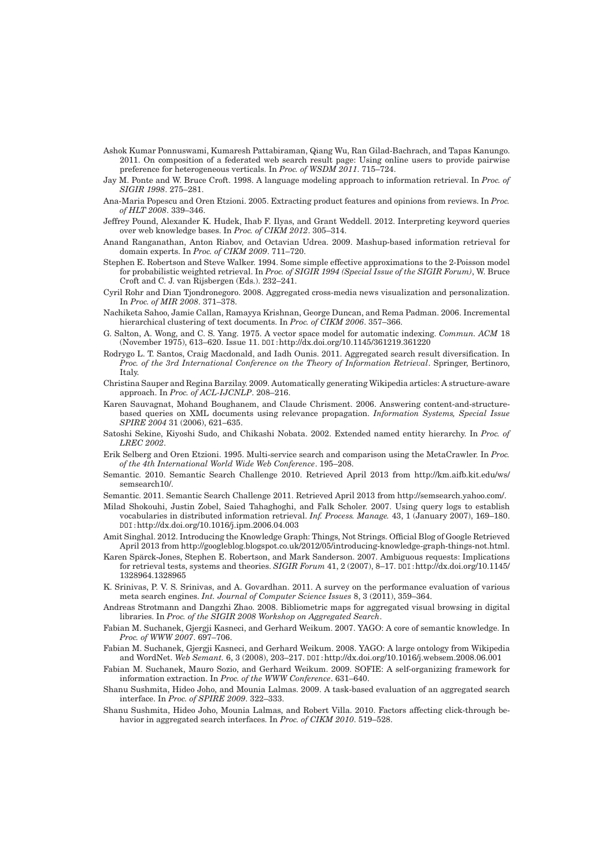- Ashok Kumar Ponnuswami, Kumaresh Pattabiraman, Qiang Wu, Ran Gilad-Bachrach, and Tapas Kanungo. 2011. On composition of a federated web search result page: Using online users to provide pairwise preference for heterogeneous verticals. In *Proc. of WSDM 2011*. 715–724.
- Jay M. Ponte and W. Bruce Croft. 1998. A language modeling approach to information retrieval. In *Proc. of SIGIR 1998*. 275–281.
- Ana-Maria Popescu and Oren Etzioni. 2005. Extracting product features and opinions from reviews. In *Proc. of HLT 2008*. 339–346.
- Jeffrey Pound, Alexander K. Hudek, Ihab F. Ilyas, and Grant Weddell. 2012. Interpreting keyword queries over web knowledge bases. In *Proc. of CIKM 2012*. 305–314.
- Anand Ranganathan, Anton Riabov, and Octavian Udrea. 2009. Mashup-based information retrieval for domain experts. In *Proc. of CIKM 2009*. 711–720.
- Stephen E. Robertson and Steve Walker. 1994. Some simple effective approximations to the 2-Poisson model for probabilistic weighted retrieval. In *Proc. of SIGIR 1994 (Special Issue of the SIGIR Forum)*, W. Bruce Croft and C. J. van Rijsbergen (Eds.). 232–241.
- Cyril Rohr and Dian Tjondronegoro. 2008. Aggregated cross-media news visualization and personalization. In *Proc. of MIR 2008*. 371–378.
- Nachiketa Sahoo, Jamie Callan, Ramayya Krishnan, George Duncan, and Rema Padman. 2006. Incremental hierarchical clustering of text documents. In *Proc. of CIKM 2006*. 357–366.
- G. Salton, A. Wong, and C. S. Yang. 1975. A vector space model for automatic indexing. *Commun. ACM* 18 (November 1975), 613–620. Issue 11. DOI:http://dx.doi.org/10.1145/361219.361220
- Rodrygo L. T. Santos, Craig Macdonald, and Iadh Ounis. 2011. Aggregated search result diversification. In *Proc. of the 3rd International Conference on the Theory of Information Retrieval*. Springer, Bertinoro, Italy.
- Christina Sauper and Regina Barzilay. 2009. Automatically generating Wikipedia articles: A structure-aware approach. In *Proc. of ACL-IJCNLP*. 208–216.
- Karen Sauvagnat, Mohand Boughanem, and Claude Chrisment. 2006. Answering content-and-structurebased queries on XML documents using relevance propagation. *Information Systems, Special Issue SPIRE 2004* 31 (2006), 621–635.
- Satoshi Sekine, Kiyoshi Sudo, and Chikashi Nobata. 2002. Extended named entity hierarchy. In *Proc. of LREC 2002*.
- Erik Selberg and Oren Etzioni. 1995. Multi-service search and comparison using the MetaCrawler. In *Proc. of the 4th International World Wide Web Conference*. 195–208.
- Semantic. 2010. Semantic Search Challenge 2010. Retrieved April 2013 from http://km.aifb.kit.edu/ws/ semsearch10/.
- Semantic. 2011. Semantic Search Challenge 2011. Retrieved April 2013 from http://semsearch.yahoo.com/.
- Milad Shokouhi, Justin Zobel, Saied Tahaghoghi, and Falk Scholer. 2007. Using query logs to establish vocabularies in distributed information retrieval. *Inf. Process. Manage.* 43, 1 (January 2007), 169–180. DOI:http://dx.doi.org/10.1016/j.ipm.2006.04.003
- Amit Singhal. 2012. Introducing the Knowledge Graph: Things, Not Strings. Official Blog of Google Retrieved April 2013 from http://googleblog.blogspot.co.uk/2012/05/introducing-knowledge-graph-things-not.html.
- Karen Spärck-Jones, Stephen E. Robertson, and Mark Sanderson. 2007. Ambiguous requests: Implications for retrieval tests, systems and theories. *SIGIR Forum* 41, 2 (2007), 8–17. DOI:http://dx.doi.org/10.1145/ 1328964.1328965
- K. Srinivas, P. V. S. Srinivas, and A. Govardhan. 2011. A survey on the performance evaluation of various meta search engines. *Int. Journal of Computer Science Issues* 8, 3 (2011), 359–364.
- Andreas Strotmann and Dangzhi Zhao. 2008. Bibliometric maps for aggregated visual browsing in digital libraries. In *Proc. of the SIGIR 2008 Workshop on Aggregated Search*.
- Fabian M. Suchanek, Gjergji Kasneci, and Gerhard Weikum. 2007. YAGO: A core of semantic knowledge. In *Proc. of WWW 2007*. 697–706.
- Fabian M. Suchanek, Gjergji Kasneci, and Gerhard Weikum. 2008. YAGO: A large ontology from Wikipedia and WordNet. *Web Semant.* 6, 3 (2008), 203–217. DOI:http://dx.doi.org/10.1016/j.websem.2008.06.001
- Fabian M. Suchanek, Mauro Sozio, and Gerhard Weikum. 2009. SOFIE: A self-organizing framework for information extraction. In *Proc. of the WWW Conference*. 631–640.
- Shanu Sushmita, Hideo Joho, and Mounia Lalmas. 2009. A task-based evaluation of an aggregated search interface. In *Proc. of SPIRE 2009*. 322–333.
- Shanu Sushmita, Hideo Joho, Mounia Lalmas, and Robert Villa. 2010. Factors affecting click-through behavior in aggregated search interfaces. In *Proc. of CIKM 2010*. 519–528.